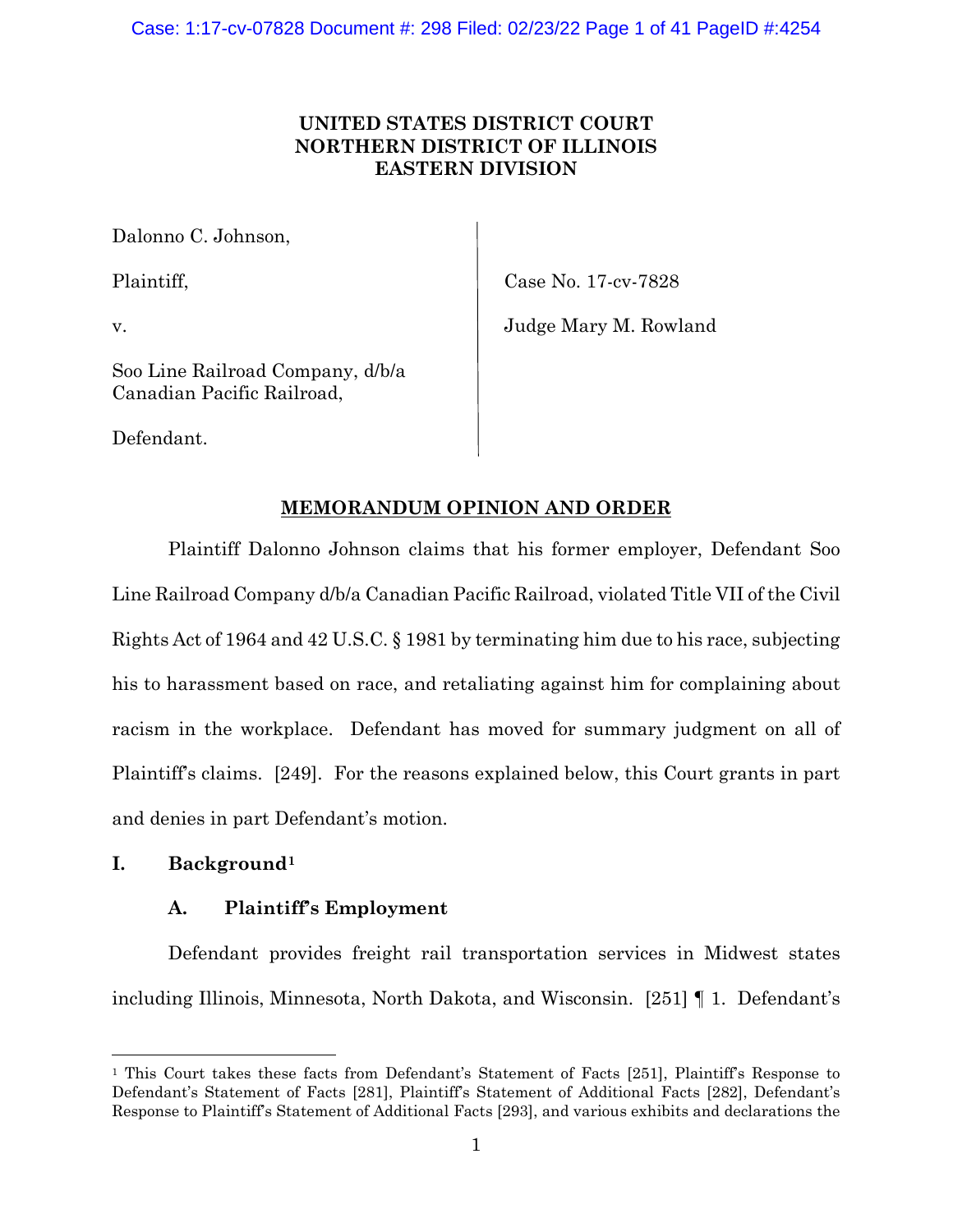# **UNITED STATES DISTRICT COURT NORTHERN DISTRICT OF ILLINOIS EASTERN DIVISION**

Dalonno C. Johnson,

Plaintiff, Case No. 17-cv-7828

v. Judge Mary M. Rowland

Soo Line Railroad Company, d/b/a Canadian Pacific Railroad,

Defendant.

# **MEMORANDUM OPINION AND ORDER**

Plaintiff Dalonno Johnson claims that his former employer, Defendant Soo Line Railroad Company d/b/a Canadian Pacific Railroad, violated Title VII of the Civil Rights Act of 1964 and 42 U.S.C. § 1981 by terminating him due to his race, subjecting his to harassment based on race, and retaliating against him for complaining about racism in the workplace. Defendant has moved for summary judgment on all of Plaintiff's claims. [249]. For the reasons explained below, this Court grants in part and denies in part Defendant's motion.

# **I. Background[1](#page-0-0)**

# **A. Plaintiff's Employment**

Defendant provides freight rail transportation services in Midwest states including Illinois, Minnesota, North Dakota, and Wisconsin. [251] ¶ 1. Defendant's

<span id="page-0-0"></span><sup>1</sup> This Court takes these facts from Defendant's Statement of Facts [251], Plaintiff's Response to Defendant's Statement of Facts [281], Plaintiff's Statement of Additional Facts [282], Defendant's Response to Plaintiff's Statement of Additional Facts [293], and various exhibits and declarations the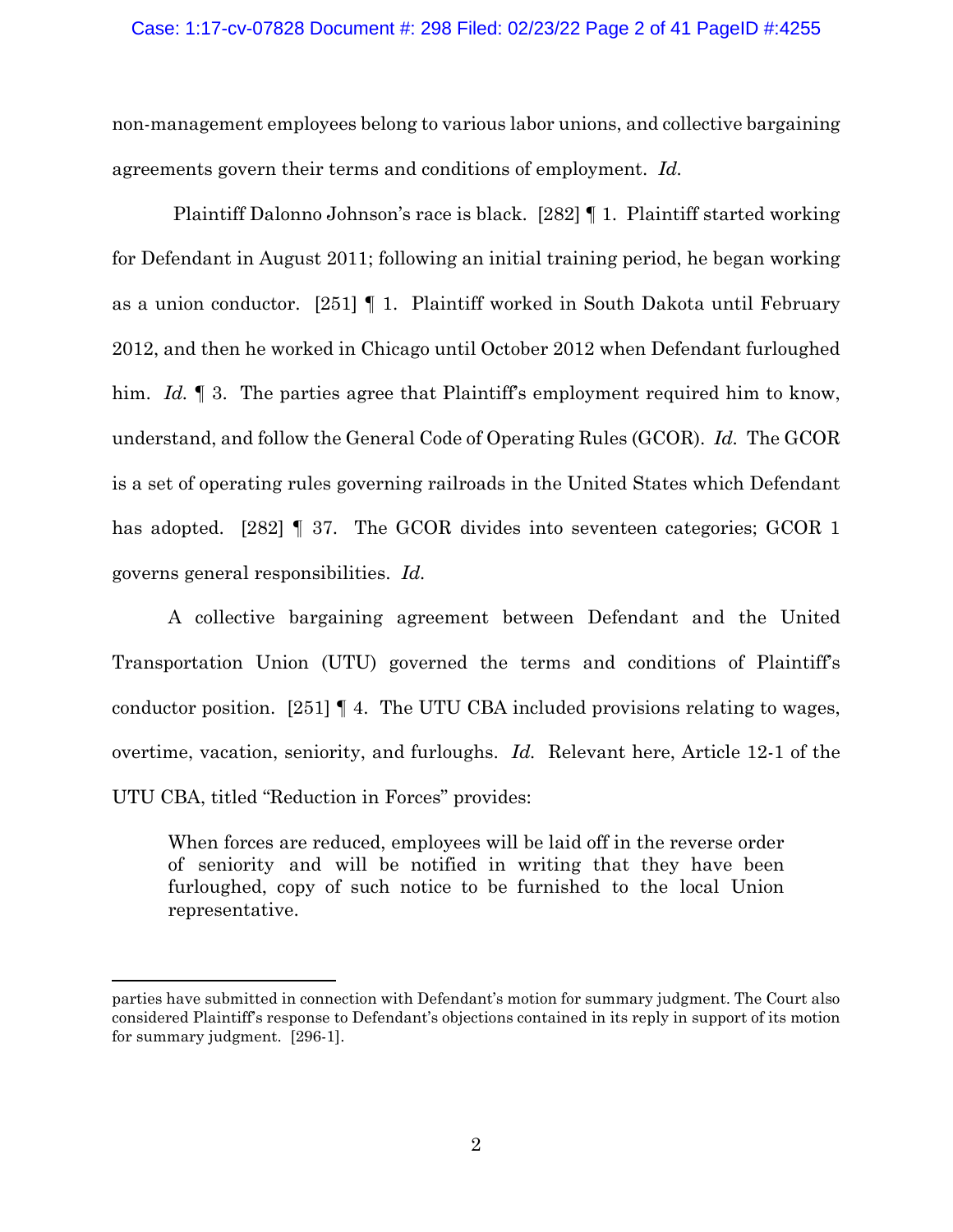### Case: 1:17-cv-07828 Document #: 298 Filed: 02/23/22 Page 2 of 41 PageID #:4255

non-management employees belong to various labor unions, and collective bargaining agreements govern their terms and conditions of employment. *Id.*

Plaintiff Dalonno Johnson's race is black. [282] ¶ 1. Plaintiff started working for Defendant in August 2011; following an initial training period, he began working as a union conductor. [251] ¶ 1. Plaintiff worked in South Dakota until February 2012, and then he worked in Chicago until October 2012 when Defendant furloughed him. *Id.* 1 3. The parties agree that Plaintiff's employment required him to know, understand, and follow the General Code of Operating Rules (GCOR). *Id.* The GCOR is a set of operating rules governing railroads in the United States which Defendant has adopted. [282] **[37.** The GCOR divides into seventeen categories; GCOR 1 governs general responsibilities. *Id.*

A collective bargaining agreement between Defendant and the United Transportation Union (UTU) governed the terms and conditions of Plaintiff's conductor position. [251] ¶ 4. The UTU CBA included provisions relating to wages, overtime, vacation, seniority, and furloughs. *Id.* Relevant here, Article 12-1 of the UTU CBA, titled "Reduction in Forces" provides:

When forces are reduced, employees will be laid off in the reverse order of seniority and will be notified in writing that they have been furloughed, copy of such notice to be furnished to the local Union representative.

parties have submitted in connection with Defendant's motion for summary judgment. The Court also considered Plaintiff's response to Defendant's objections contained in its reply in support of its motion for summary judgment. [296-1].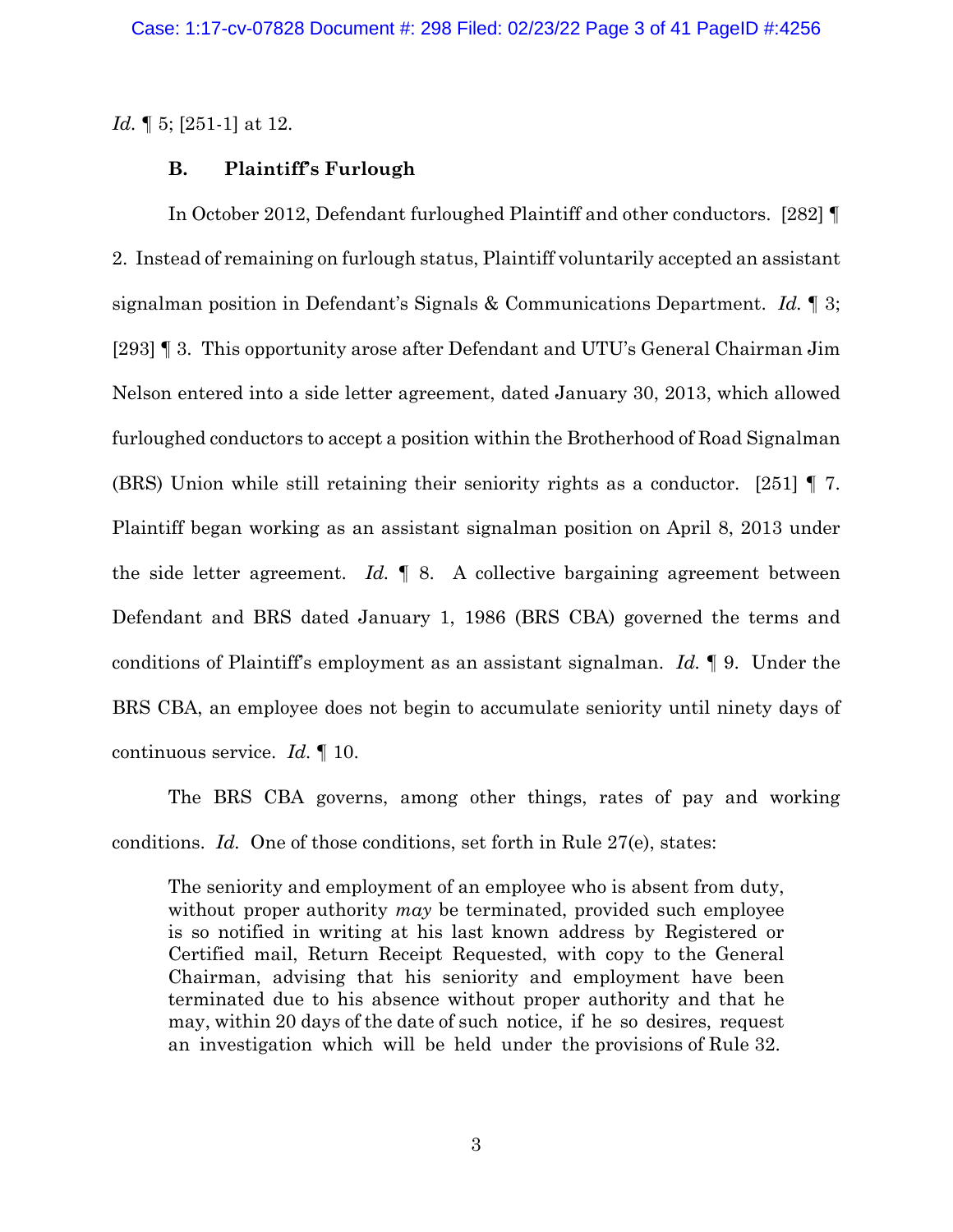*Id.* ¶ 5; [251-1] at 12.

### **B. Plaintiff's Furlough**

In October 2012, Defendant furloughed Plaintiff and other conductors. [282] ¶ 2. Instead of remaining on furlough status, Plaintiff voluntarily accepted an assistant signalman position in Defendant's Signals & Communications Department. *Id.* ¶ 3; [293] ¶ 3. This opportunity arose after Defendant and UTU's General Chairman Jim Nelson entered into a side letter agreement, dated January 30, 2013, which allowed furloughed conductors to accept a position within the Brotherhood of Road Signalman (BRS) Union while still retaining their seniority rights as a conductor. [251] ¶ 7. Plaintiff began working as an assistant signalman position on April 8, 2013 under the side letter agreement. *Id.* ¶ 8. A collective bargaining agreement between Defendant and BRS dated January 1, 1986 (BRS CBA) governed the terms and conditions of Plaintiff's employment as an assistant signalman. *Id.* ¶ 9. Under the BRS CBA, an employee does not begin to accumulate seniority until ninety days of continuous service. *Id.* ¶ 10.

The BRS CBA governs, among other things, rates of pay and working conditions. *Id.* One of those conditions, set forth in Rule 27(e), states:

The seniority and employment of an employee who is absent from duty, without proper authority *may* be terminated, provided such employee is so notified in writing at his last known address by Registered or Certified mail, Return Receipt Requested, with copy to the General Chairman, advising that his seniority and employment have been terminated due to his absence without proper authority and that he may, within 20 days of the date of such notice, if he so desires, request an investigation which will be held under the provisions of Rule 32.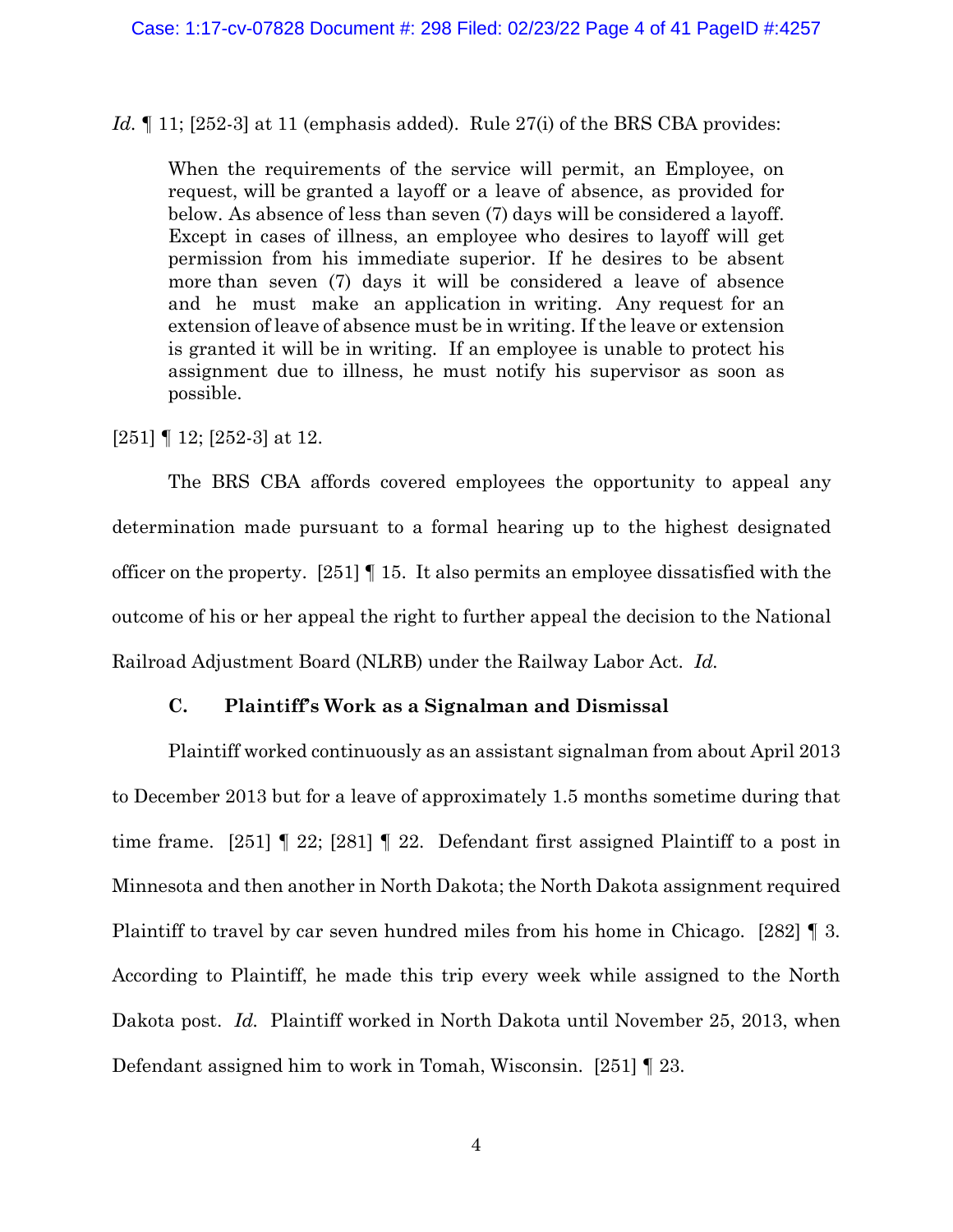*Id.* 11; [252-3] at 11 (emphasis added). Rule 27(i) of the BRS CBA provides:

When the requirements of the service will permit, an Employee, on request, will be granted a layoff or a leave of absence, as provided for below. As absence of less than seven (7) days will be considered a layoff. Except in cases of illness, an employee who desires to layoff will get permission from his immediate superior. If he desires to be absent more than seven (7) days it will be considered a leave of absence and he must make an application in writing. Any request for an extension of leave of absence must be in writing. If the leave or extension is granted it will be in writing. If an employee is unable to protect his assignment due to illness, he must notify his supervisor as soon as possible.

[251] ¶ 12; [252-3] at 12.

The BRS CBA affords covered employees the opportunity to appeal any determination made pursuant to a formal hearing up to the highest designated officer on the property. [251] ¶ 15. It also permits an employee dissatisfied with the outcome of his or her appeal the right to further appeal the decision to the National Railroad Adjustment Board (NLRB) under the Railway Labor Act. *Id.*

# **C. Plaintiff's Work as a Signalman and Dismissal**

Plaintiff worked continuously as an assistant signalman from about April 2013 to December 2013 but for a leave of approximately 1.5 months sometime during that time frame.  $[251]$  | 22;  $[281]$  | 22. Defendant first assigned Plaintiff to a post in Minnesota and then another in North Dakota; the North Dakota assignment required Plaintiff to travel by car seven hundred miles from his home in Chicago. [282] ¶ 3. According to Plaintiff, he made this trip every week while assigned to the North Dakota post. *Id.* Plaintiff worked in North Dakota until November 25, 2013, when Defendant assigned him to work in Tomah, Wisconsin. [251] ¶ 23.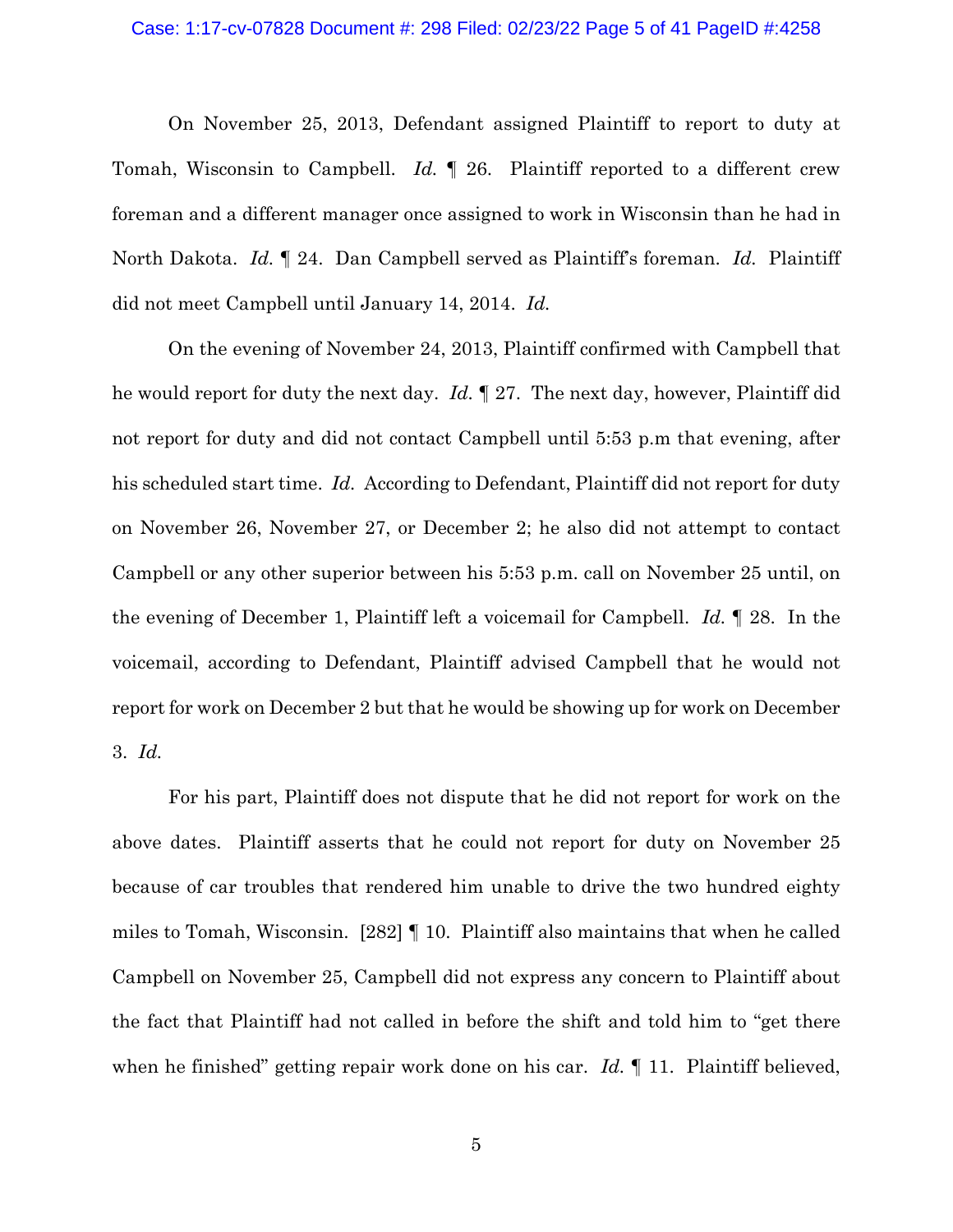#### Case: 1:17-cv-07828 Document #: 298 Filed: 02/23/22 Page 5 of 41 PageID #:4258

On November 25, 2013, Defendant assigned Plaintiff to report to duty at Tomah, Wisconsin to Campbell. *Id.* ¶ 26. Plaintiff reported to a different crew foreman and a different manager once assigned to work in Wisconsin than he had in North Dakota. *Id.* ¶ 24. Dan Campbell served as Plaintiff's foreman. *Id.* Plaintiff did not meet Campbell until January 14, 2014. *Id.*

On the evening of November 24, 2013, Plaintiff confirmed with Campbell that he would report for duty the next day. *Id.* ¶ 27. The next day, however, Plaintiff did not report for duty and did not contact Campbell until 5:53 p.m that evening, after his scheduled start time. *Id.* According to Defendant, Plaintiff did not report for duty on November 26, November 27, or December 2; he also did not attempt to contact Campbell or any other superior between his 5:53 p.m. call on November 25 until, on the evening of December 1, Plaintiff left a voicemail for Campbell. *Id.* ¶ 28. In the voicemail, according to Defendant, Plaintiff advised Campbell that he would not report for work on December 2 but that he would be showing up for work on December 3. *Id.*

For his part, Plaintiff does not dispute that he did not report for work on the above dates. Plaintiff asserts that he could not report for duty on November 25 because of car troubles that rendered him unable to drive the two hundred eighty miles to Tomah, Wisconsin. [282] ¶ 10. Plaintiff also maintains that when he called Campbell on November 25, Campbell did not express any concern to Plaintiff about the fact that Plaintiff had not called in before the shift and told him to "get there when he finished" getting repair work done on his car. *Id.* ¶ 11. Plaintiff believed,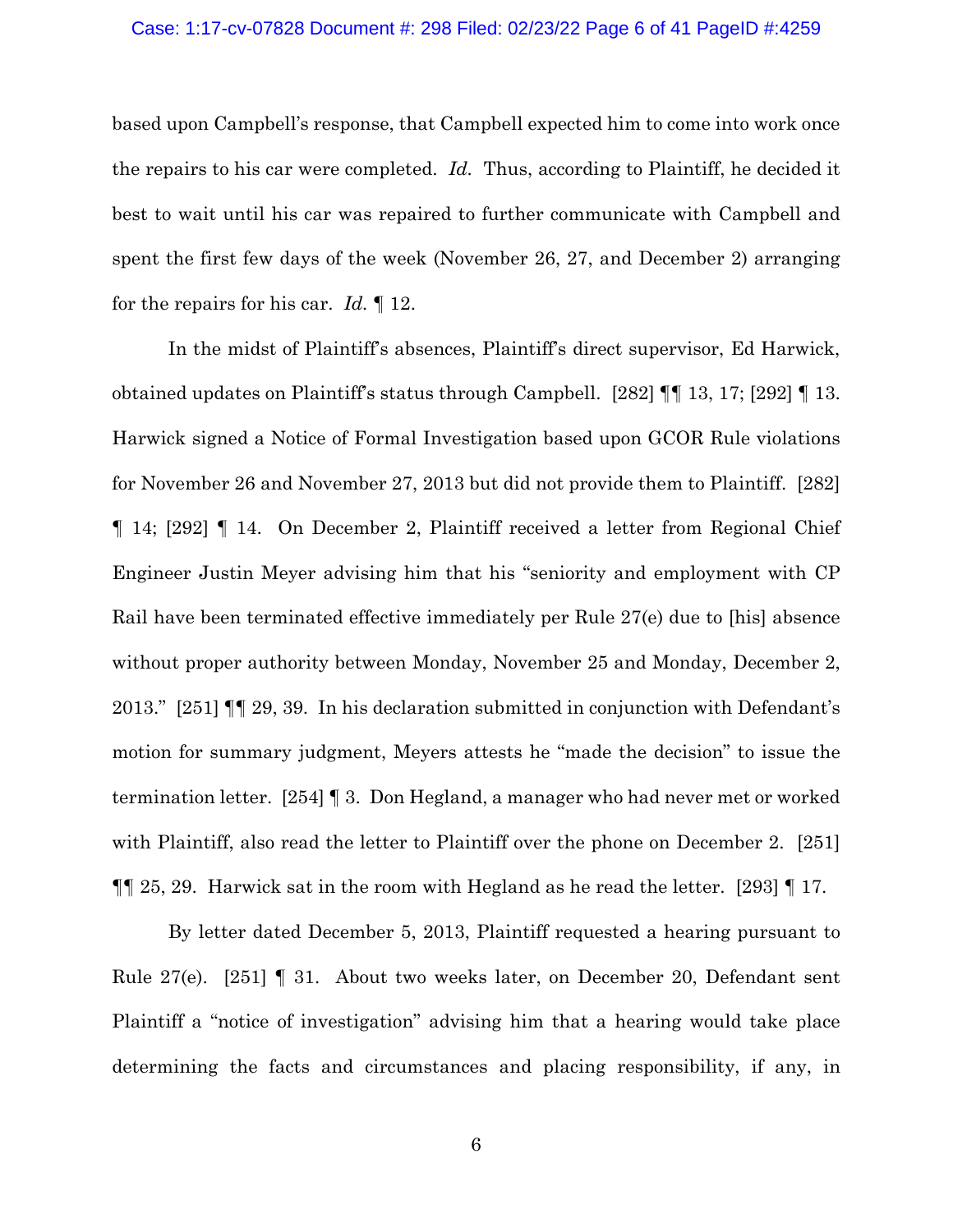#### Case: 1:17-cv-07828 Document #: 298 Filed: 02/23/22 Page 6 of 41 PageID #:4259

based upon Campbell's response, that Campbell expected him to come into work once the repairs to his car were completed. *Id.* Thus, according to Plaintiff, he decided it best to wait until his car was repaired to further communicate with Campbell and spent the first few days of the week (November 26, 27, and December 2) arranging for the repairs for his car. *Id.* ¶ 12.

In the midst of Plaintiff's absences, Plaintiff's direct supervisor, Ed Harwick, obtained updates on Plaintiff's status through Campbell. [282] ¶¶ 13, 17; [292] ¶ 13. Harwick signed a Notice of Formal Investigation based upon GCOR Rule violations for November 26 and November 27, 2013 but did not provide them to Plaintiff. [282] ¶ 14; [292] ¶ 14. On December 2, Plaintiff received a letter from Regional Chief Engineer Justin Meyer advising him that his "seniority and employment with CP Rail have been terminated effective immediately per Rule 27(e) due to [his] absence without proper authority between Monday, November 25 and Monday, December 2, 2013." [251] ¶¶ 29, 39. In his declaration submitted in conjunction with Defendant's motion for summary judgment, Meyers attests he "made the decision" to issue the termination letter. [254] ¶ 3. Don Hegland, a manager who had never met or worked with Plaintiff, also read the letter to Plaintiff over the phone on December 2. [251]  $\P$  25, 29. Harwick sat in the room with Hegland as he read the letter. [293]  $\P$  17.

By letter dated December 5, 2013, Plaintiff requested a hearing pursuant to Rule 27(e). [251] ¶ 31. About two weeks later, on December 20, Defendant sent Plaintiff a "notice of investigation" advising him that a hearing would take place determining the facts and circumstances and placing responsibility, if any, in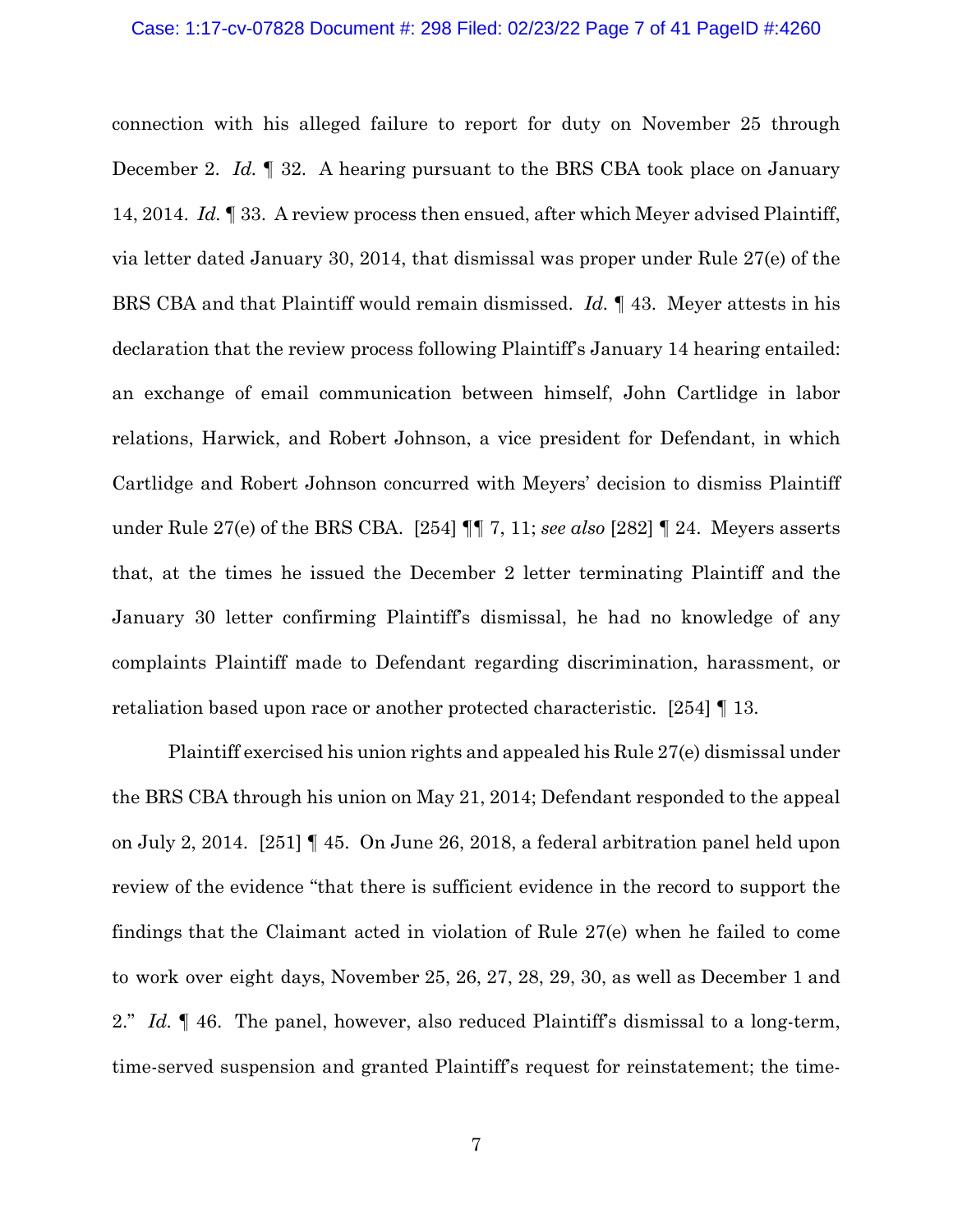connection with his alleged failure to report for duty on November 25 through December 2. *Id.* ¶ 32. A hearing pursuant to the BRS CBA took place on January 14, 2014. *Id.* ¶ 33. A review process then ensued, after which Meyer advised Plaintiff, via letter dated January 30, 2014, that dismissal was proper under Rule 27(e) of the BRS CBA and that Plaintiff would remain dismissed. *Id.* ¶ 43. Meyer attests in his declaration that the review process following Plaintiff's January 14 hearing entailed: an exchange of email communication between himself, John Cartlidge in labor relations, Harwick, and Robert Johnson, a vice president for Defendant, in which Cartlidge and Robert Johnson concurred with Meyers' decision to dismiss Plaintiff under Rule 27(e) of the BRS CBA. [254] ¶¶ 7, 11; *see also* [282] ¶ 24. Meyers asserts that, at the times he issued the December 2 letter terminating Plaintiff and the January 30 letter confirming Plaintiff's dismissal, he had no knowledge of any complaints Plaintiff made to Defendant regarding discrimination, harassment, or retaliation based upon race or another protected characteristic. [254] ¶ 13.

Plaintiff exercised his union rights and appealed his Rule 27(e) dismissal under the BRS CBA through his union on May 21, 2014; Defendant responded to the appeal on July 2, 2014. [251] ¶ 45. On June 26, 2018, a federal arbitration panel held upon review of the evidence "that there is sufficient evidence in the record to support the findings that the Claimant acted in violation of Rule 27(e) when he failed to come to work over eight days, November 25, 26, 27, 28, 29, 30, as well as December 1 and 2." *Id.* 146. The panel, however, also reduced Plaintiff's dismissal to a long-term, time-served suspension and granted Plaintiff's request for reinstatement; the time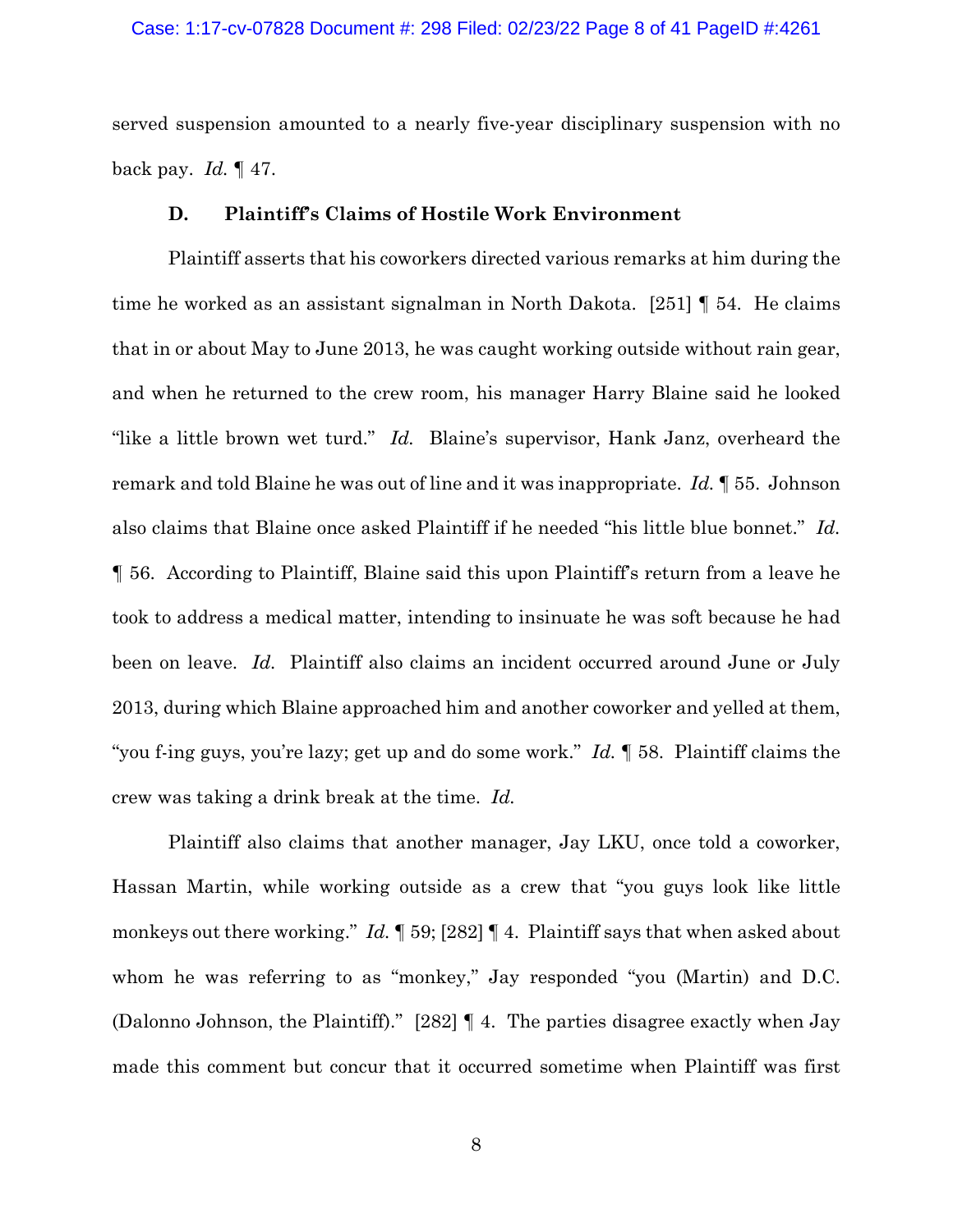served suspension amounted to a nearly five-year disciplinary suspension with no back pay. *Id.* ¶ 47.

### **D. Plaintiff's Claims of Hostile Work Environment**

Plaintiff asserts that his coworkers directed various remarks at him during the time he worked as an assistant signalman in North Dakota. [251] ¶ 54. He claims that in or about May to June 2013, he was caught working outside without rain gear, and when he returned to the crew room, his manager Harry Blaine said he looked "like a little brown wet turd." *Id.* Blaine's supervisor, Hank Janz, overheard the remark and told Blaine he was out of line and it was inappropriate. *Id.* ¶ 55. Johnson also claims that Blaine once asked Plaintiff if he needed "his little blue bonnet." *Id.* ¶ 56. According to Plaintiff, Blaine said this upon Plaintiff's return from a leave he took to address a medical matter, intending to insinuate he was soft because he had been on leave. *Id.* Plaintiff also claims an incident occurred around June or July 2013, during which Blaine approached him and another coworker and yelled at them, "you f-ing guys, you're lazy; get up and do some work." *Id.* ¶ 58. Plaintiff claims the crew was taking a drink break at the time. *Id.*

Plaintiff also claims that another manager, Jay LKU, once told a coworker, Hassan Martin, while working outside as a crew that "you guys look like little monkeys out there working." *Id.* ¶ 59; [282] ¶ 4. Plaintiff says that when asked about whom he was referring to as "monkey," Jay responded "you (Martin) and D.C. (Dalonno Johnson, the Plaintiff)." [282] ¶ 4. The parties disagree exactly when Jay made this comment but concur that it occurred sometime when Plaintiff was first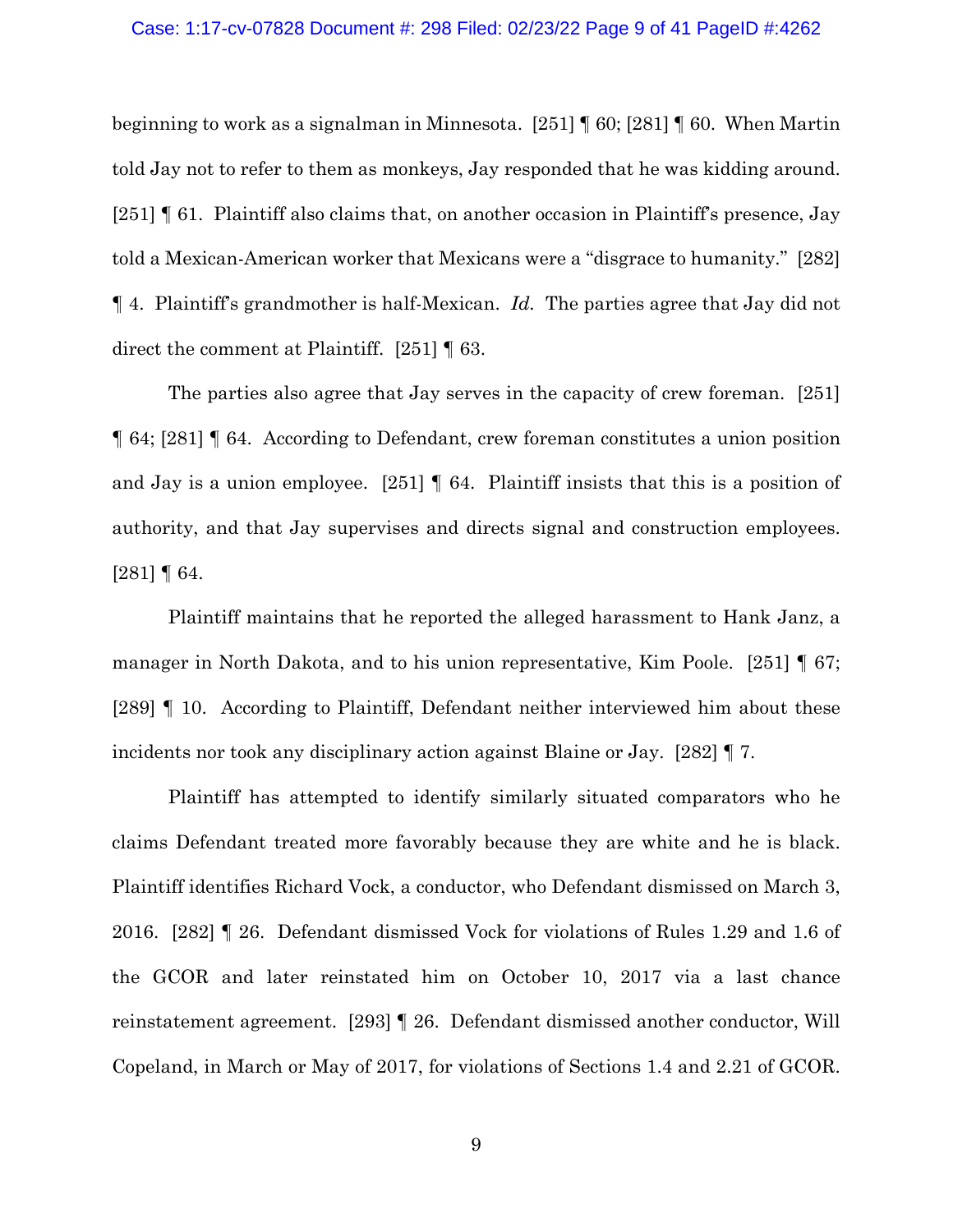#### Case: 1:17-cv-07828 Document #: 298 Filed: 02/23/22 Page 9 of 41 PageID #:4262

beginning to work as a signalman in Minnesota. [251] ¶ 60; [281] ¶ 60. When Martin told Jay not to refer to them as monkeys, Jay responded that he was kidding around. [251] ¶ 61. Plaintiff also claims that, on another occasion in Plaintiff's presence, Jay told a Mexican-American worker that Mexicans were a "disgrace to humanity." [282] ¶ 4. Plaintiff's grandmother is half-Mexican. *Id.* The parties agree that Jay did not direct the comment at Plaintiff. [251] ¶ 63.

The parties also agree that Jay serves in the capacity of crew foreman. [251] ¶ 64; [281] ¶ 64. According to Defendant, crew foreman constitutes a union position and Jay is a union employee. [251] ¶ 64. Plaintiff insists that this is a position of authority, and that Jay supervises and directs signal and construction employees. [281] ¶ 64.

Plaintiff maintains that he reported the alleged harassment to Hank Janz, a manager in North Dakota, and to his union representative, Kim Poole. [251] ¶ 67; [289] ¶ 10. According to Plaintiff, Defendant neither interviewed him about these incidents nor took any disciplinary action against Blaine or Jay. [282] ¶ 7.

Plaintiff has attempted to identify similarly situated comparators who he claims Defendant treated more favorably because they are white and he is black. Plaintiff identifies Richard Vock, a conductor, who Defendant dismissed on March 3, 2016. [282] ¶ 26. Defendant dismissed Vock for violations of Rules 1.29 and 1.6 of the GCOR and later reinstated him on October 10, 2017 via a last chance reinstatement agreement. [293] ¶ 26. Defendant dismissed another conductor, Will Copeland, in March or May of 2017, for violations of Sections 1.4 and 2.21 of GCOR.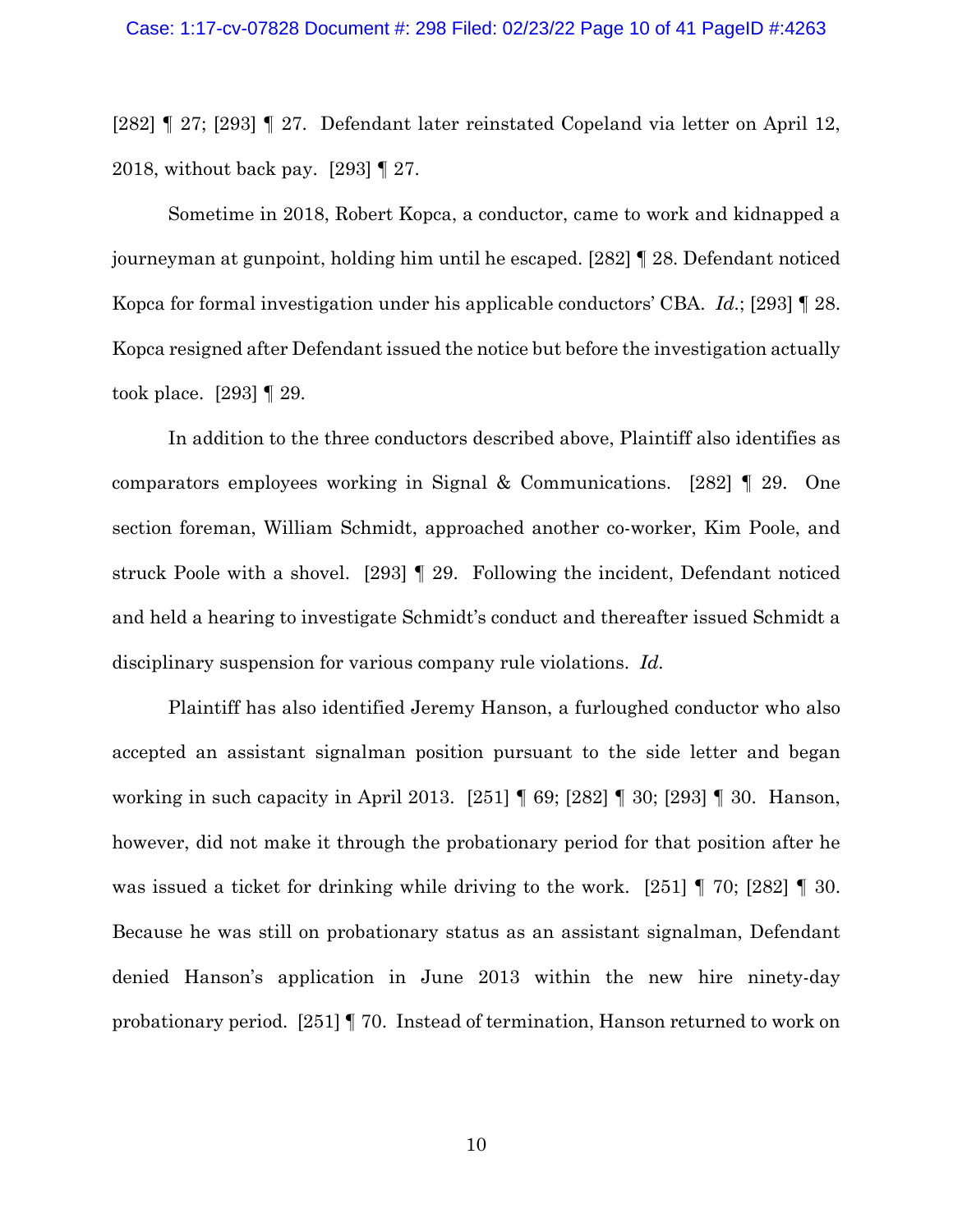[282] ¶ 27; [293] ¶ 27. Defendant later reinstated Copeland via letter on April 12, 2018, without back pay. [293] ¶ 27.

Sometime in 2018, Robert Kopca, a conductor, came to work and kidnapped a journeyman at gunpoint, holding him until he escaped. [282] ¶ 28. Defendant noticed Kopca for formal investigation under his applicable conductors' CBA. *Id.*; [293] ¶ 28. Kopca resigned after Defendant issued the notice but before the investigation actually took place. [293] ¶ 29.

In addition to the three conductors described above, Plaintiff also identifies as comparators employees working in Signal & Communications. [282] ¶ 29. One section foreman, William Schmidt, approached another co-worker, Kim Poole, and struck Poole with a shovel. [293] ¶ 29. Following the incident, Defendant noticed and held a hearing to investigate Schmidt's conduct and thereafter issued Schmidt a disciplinary suspension for various company rule violations. *Id.*

Plaintiff has also identified Jeremy Hanson, a furloughed conductor who also accepted an assistant signalman position pursuant to the side letter and began working in such capacity in April 2013. [251] ¶ 69; [282] ¶ 30; [293] ¶ 30. Hanson, however, did not make it through the probationary period for that position after he was issued a ticket for drinking while driving to the work. [251] ¶ 70; [282] ¶ 30. Because he was still on probationary status as an assistant signalman, Defendant denied Hanson's application in June 2013 within the new hire ninety-day probationary period. [251] ¶ 70. Instead of termination, Hanson returned to work on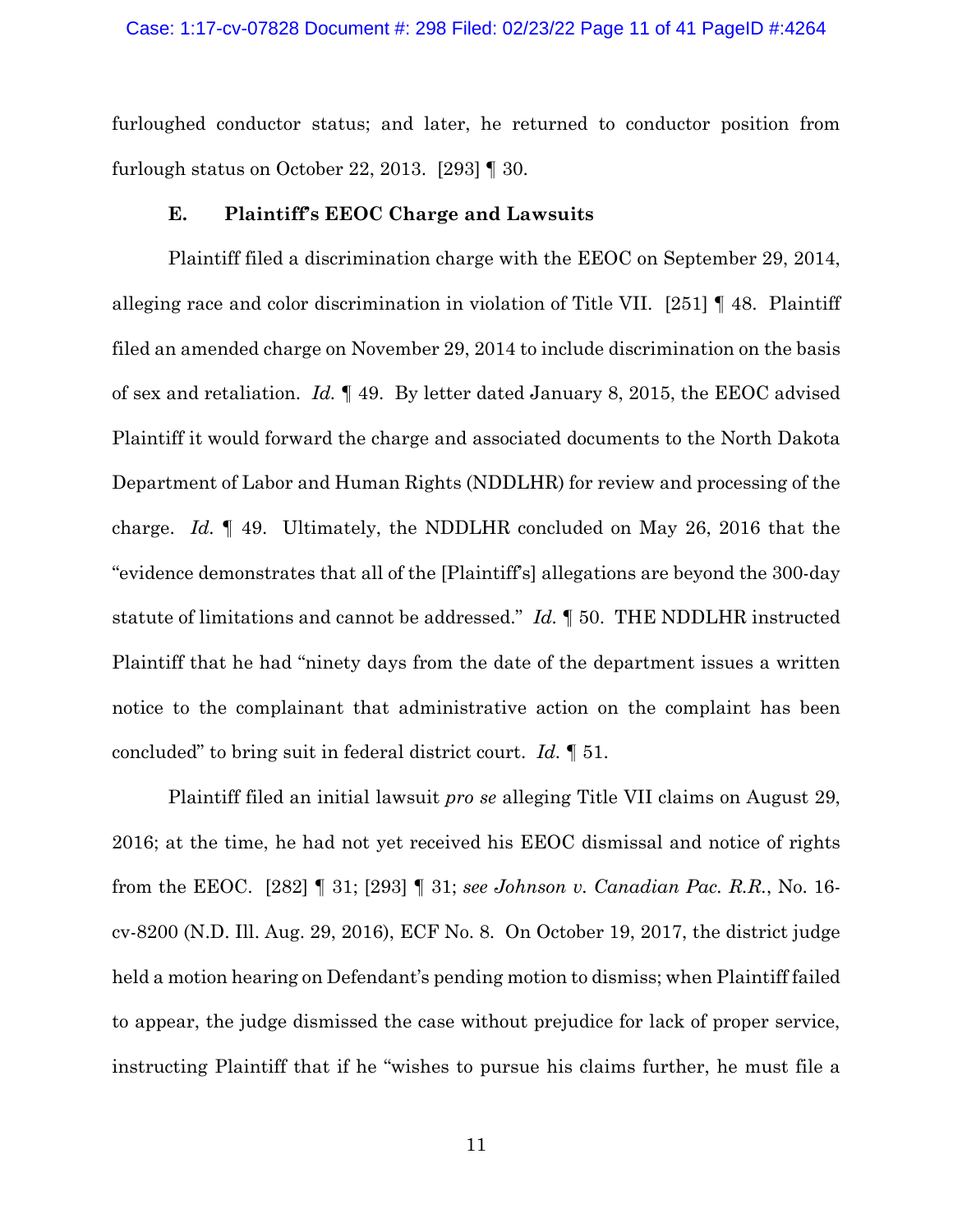### Case: 1:17-cv-07828 Document #: 298 Filed: 02/23/22 Page 11 of 41 PageID #:4264

furloughed conductor status; and later, he returned to conductor position from furlough status on October 22, 2013. [293] ¶ 30.

## **E. Plaintiff's EEOC Charge and Lawsuits**

Plaintiff filed a discrimination charge with the EEOC on September 29, 2014, alleging race and color discrimination in violation of Title VII. [251] ¶ 48. Plaintiff filed an amended charge on November 29, 2014 to include discrimination on the basis of sex and retaliation. *Id.* ¶ 49. By letter dated January 8, 2015, the EEOC advised Plaintiff it would forward the charge and associated documents to the North Dakota Department of Labor and Human Rights (NDDLHR) for review and processing of the charge. *Id.* ¶ 49. Ultimately, the NDDLHR concluded on May 26, 2016 that the "evidence demonstrates that all of the [Plaintiff's] allegations are beyond the 300-day statute of limitations and cannot be addressed." *Id.* ¶ 50. THE NDDLHR instructed Plaintiff that he had "ninety days from the date of the department issues a written notice to the complainant that administrative action on the complaint has been concluded" to bring suit in federal district court. *Id.* ¶ 51.

Plaintiff filed an initial lawsuit *pro se* alleging Title VII claims on August 29, 2016; at the time, he had not yet received his EEOC dismissal and notice of rights from the EEOC. [282] ¶ 31; [293] ¶ 31; *see Johnson v. Canadian Pac. R.R.*, No. 16 cv-8200 (N.D. Ill. Aug. 29, 2016), ECF No. 8. On October 19, 2017, the district judge held a motion hearing on Defendant's pending motion to dismiss; when Plaintiff failed to appear, the judge dismissed the case without prejudice for lack of proper service, instructing Plaintiff that if he "wishes to pursue his claims further, he must file a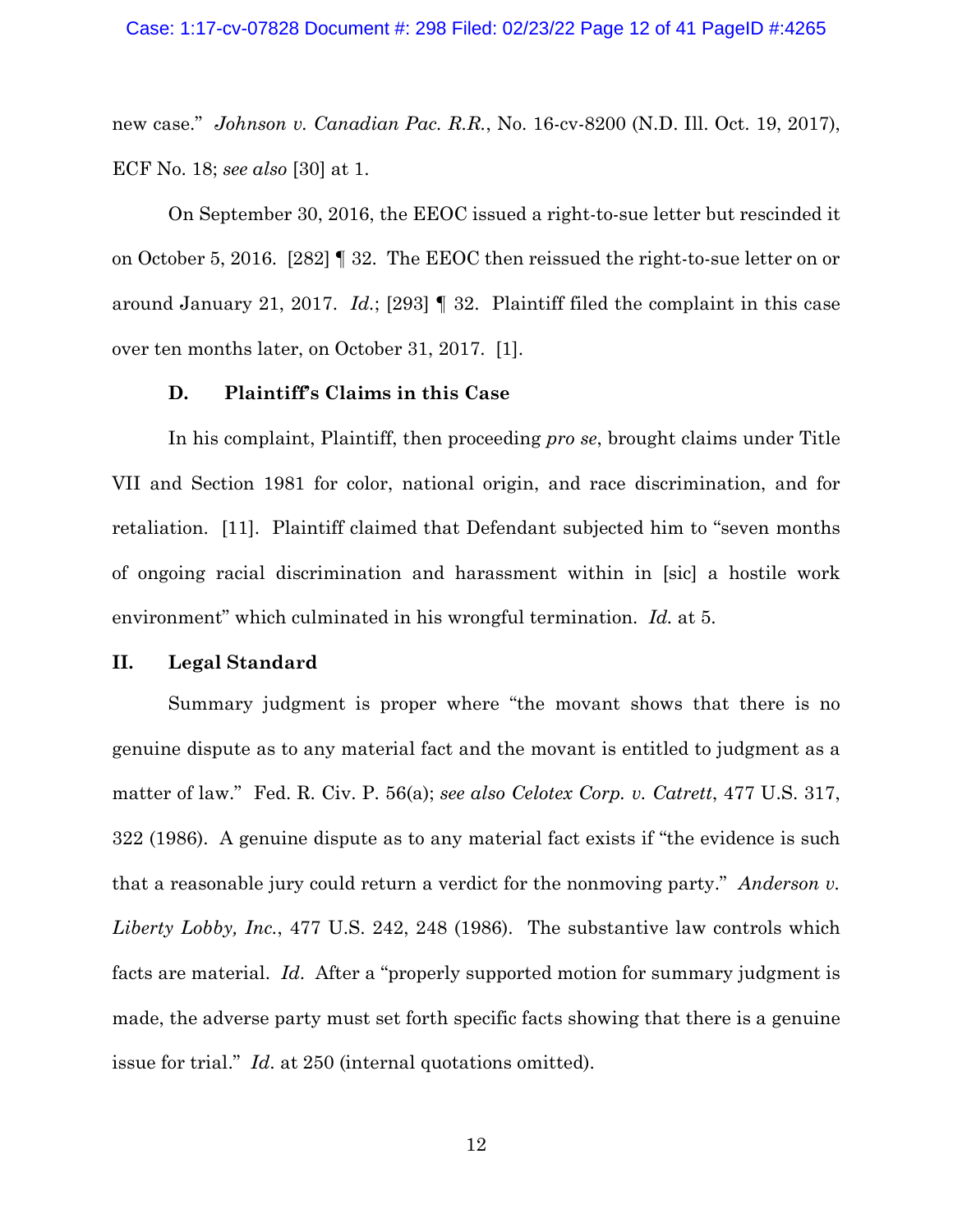new case." *Johnson v. Canadian Pac. R.R.*, No. 16-cv-8200 (N.D. Ill. Oct. 19, 2017), ECF No. 18; *see also* [30] at 1.

On September 30, 2016, the EEOC issued a right-to-sue letter but rescinded it on October 5, 2016. [282] ¶ 32. The EEOC then reissued the right-to-sue letter on or around January 21, 2017. *Id.*; [293] ¶ 32. Plaintiff filed the complaint in this case over ten months later, on October 31, 2017. [1].

### **D. Plaintiff's Claims in this Case**

In his complaint, Plaintiff, then proceeding *pro se*, brought claims under Title VII and Section 1981 for color, national origin, and race discrimination, and for retaliation. [11]. Plaintiff claimed that Defendant subjected him to "seven months of ongoing racial discrimination and harassment within in [sic] a hostile work environment" which culminated in his wrongful termination. *Id.* at 5.

### **II. Legal Standard**

Summary judgment is proper where "the movant shows that there is no genuine dispute as to any material fact and the movant is entitled to judgment as a matter of law." Fed. R. Civ. P. 56(a); *see also Celotex Corp. v. Catrett*, 477 U.S. 317, 322 (1986). A genuine dispute as to any material fact exists if "the evidence is such that a reasonable jury could return a verdict for the nonmoving party." *Anderson v. Liberty Lobby, Inc.*, 477 U.S. 242, 248 (1986). The substantive law controls which facts are material. *Id*. After a "properly supported motion for summary judgment is made, the adverse party must set forth specific facts showing that there is a genuine issue for trial." *Id*. at 250 (internal quotations omitted).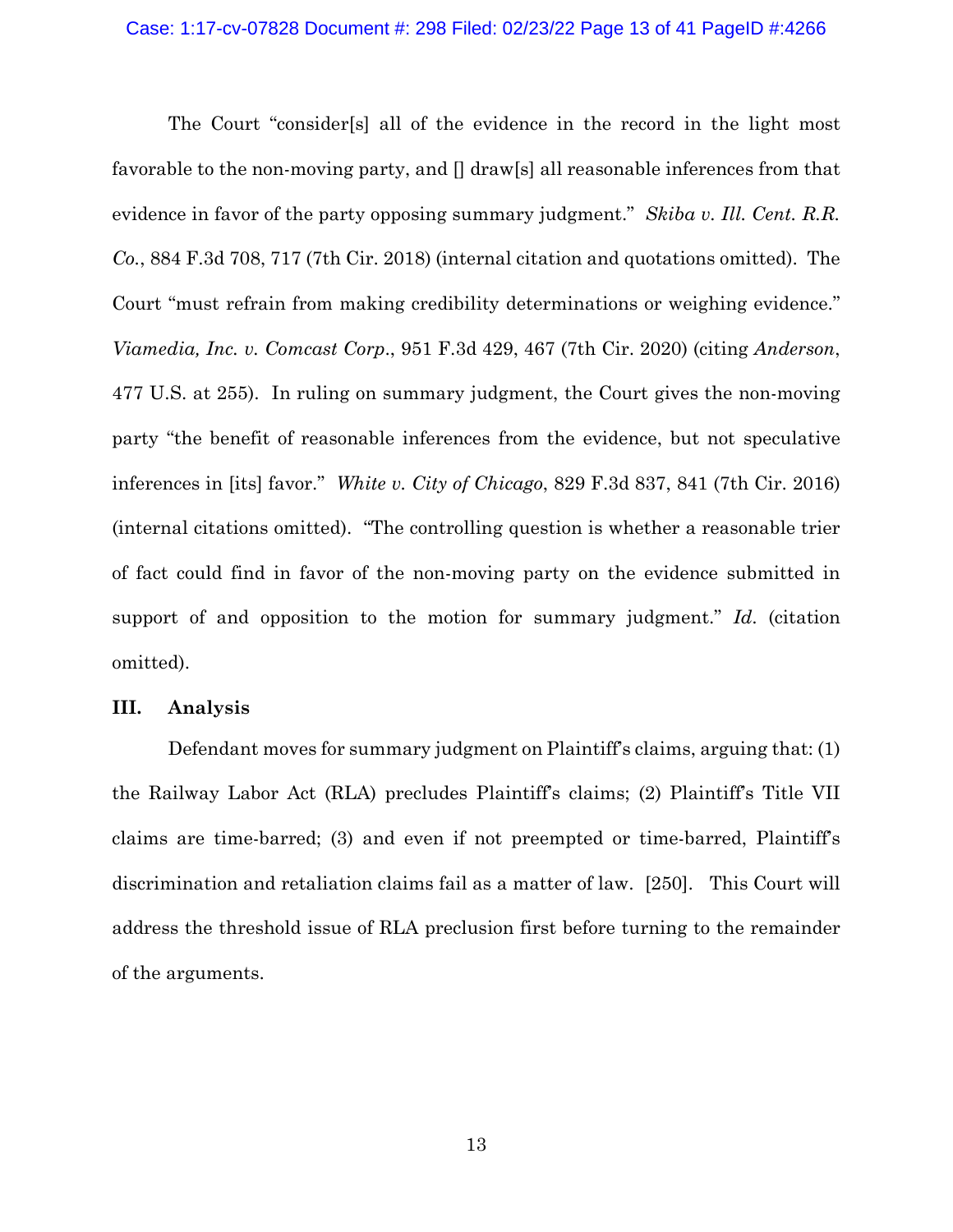The Court "consider[s] all of the evidence in the record in the light most favorable to the non-moving party, and [] draw[s] all reasonable inferences from that evidence in favor of the party opposing summary judgment." *Skiba v. Ill. Cent. R.R. Co.*, 884 F.3d 708, 717 (7th Cir. 2018) (internal citation and quotations omitted). The Court "must refrain from making credibility determinations or weighing evidence." *Viamedia, Inc. v. Comcast Corp*., 951 F.3d 429, 467 (7th Cir. 2020) (citing *Anderson*, 477 U.S. at 255). In ruling on summary judgment, the Court gives the non-moving party "the benefit of reasonable inferences from the evidence, but not speculative inferences in [its] favor." *White v. City of Chicago*, 829 F.3d 837, 841 (7th Cir. 2016) (internal citations omitted). "The controlling question is whether a reasonable trier of fact could find in favor of the non-moving party on the evidence submitted in support of and opposition to the motion for summary judgment." *Id*. (citation omitted).

### **III. Analysis**

Defendant moves for summary judgment on Plaintiff's claims, arguing that: (1) the Railway Labor Act (RLA) precludes Plaintiff's claims; (2) Plaintiff's Title VII claims are time-barred; (3) and even if not preempted or time-barred, Plaintiff's discrimination and retaliation claims fail as a matter of law. [250]. This Court will address the threshold issue of RLA preclusion first before turning to the remainder of the arguments.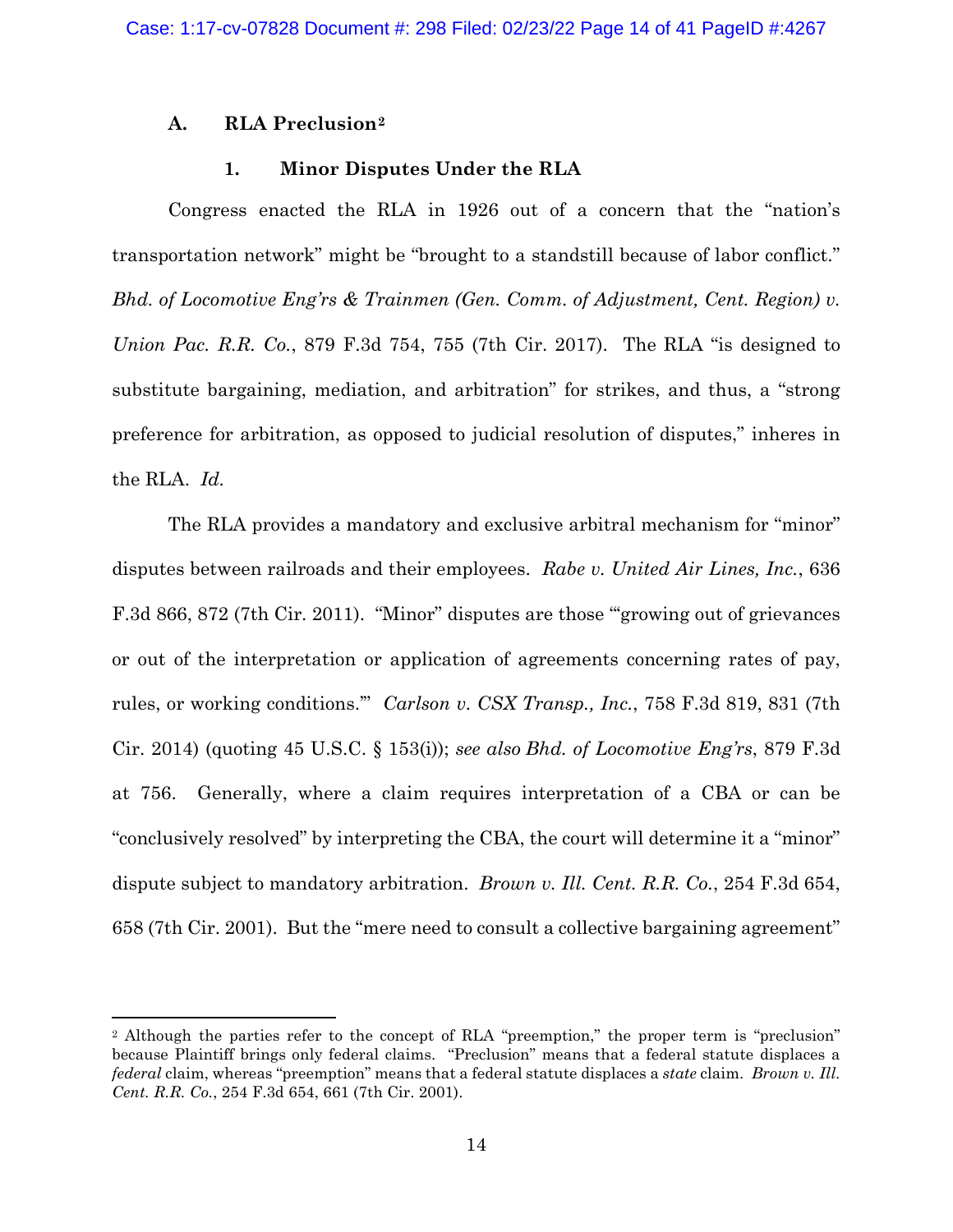# **A. RLA Preclusion[2](#page-13-0)**

## **1. Minor Disputes Under the RLA**

Congress enacted the RLA in 1926 out of a concern that the "nation's transportation network" might be "brought to a standstill because of labor conflict." *Bhd. of Locomotive Eng'rs & Trainmen (Gen. Comm. of Adjustment, Cent. Region) v. Union Pac. R.R. Co.*, 879 F.3d 754, 755 (7th Cir. 2017). The RLA "is designed to substitute bargaining, mediation, and arbitration" for strikes, and thus, a "strong preference for arbitration, as opposed to judicial resolution of disputes," inheres in the RLA. *Id.*

The RLA provides a mandatory and exclusive arbitral mechanism for "minor" disputes between railroads and their employees. *Rabe v. United Air Lines, Inc.*, 636 F.3d 866, 872 (7th Cir. 2011). "Minor" disputes are those "'growing out of grievances or out of the interpretation or application of agreements concerning rates of pay, rules, or working conditions.'" *Carlson v. CSX Transp., Inc.*, 758 F.3d 819, 831 (7th Cir. 2014) (quoting 45 U.S.C. § 153(i)); *see also Bhd. of Locomotive Eng'rs*, 879 F.3d at 756. Generally, where a claim requires interpretation of a CBA or can be "conclusively resolved" by interpreting the CBA, the court will determine it a "minor" dispute subject to mandatory arbitration. *Brown v. Ill. Cent. R.R. Co.*, 254 F.3d 654, 658 (7th Cir. 2001). But the "mere need to consult a collective bargaining agreement"

<span id="page-13-0"></span><sup>2</sup> Although the parties refer to the concept of RLA "preemption," the proper term is "preclusion" because Plaintiff brings only federal claims. "Preclusion" means that a federal statute displaces a *federal* claim, whereas "preemption" means that a federal statute displaces a *state* claim. *Brown v. Ill. Cent. R.R. Co.*, 254 F.3d 654, 661 (7th Cir. 2001).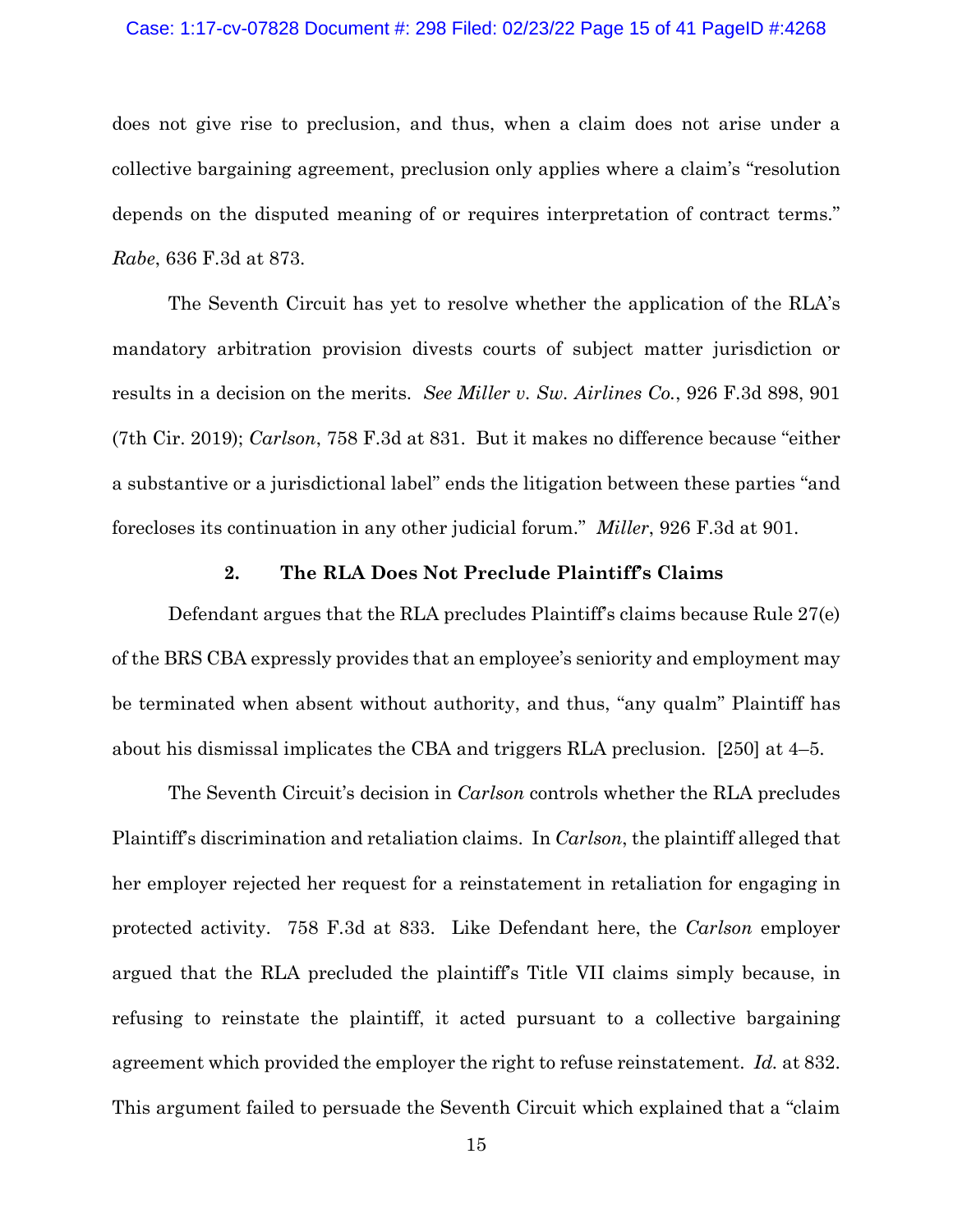## Case: 1:17-cv-07828 Document #: 298 Filed: 02/23/22 Page 15 of 41 PageID #:4268

does not give rise to preclusion, and thus, when a claim does not arise under a collective bargaining agreement, preclusion only applies where a claim's "resolution depends on the disputed meaning of or requires interpretation of contract terms." *Rabe*, 636 F.3d at 873.

The Seventh Circuit has yet to resolve whether the application of the RLA's mandatory arbitration provision divests courts of subject matter jurisdiction or results in a decision on the merits. *See Miller v. Sw. Airlines Co.*, 926 F.3d 898, 901 (7th Cir. 2019); *Carlson*, 758 F.3d at 831. But it makes no difference because "either a substantive or a jurisdictional label" ends the litigation between these parties "and forecloses its continuation in any other judicial forum." *Miller*, 926 F.3d at 901.

### **2. The RLA Does Not Preclude Plaintiff's Claims**

Defendant argues that the RLA precludes Plaintiff's claims because Rule 27(e) of the BRS CBA expressly provides that an employee's seniority and employment may be terminated when absent without authority, and thus, "any qualm" Plaintiff has about his dismissal implicates the CBA and triggers RLA preclusion. [250] at 4–5.

The Seventh Circuit's decision in *Carlson* controls whether the RLA precludes Plaintiff's discrimination and retaliation claims. In *Carlson*, the plaintiff alleged that her employer rejected her request for a reinstatement in retaliation for engaging in protected activity. 758 F.3d at 833. Like Defendant here, the *Carlson* employer argued that the RLA precluded the plaintiff's Title VII claims simply because, in refusing to reinstate the plaintiff, it acted pursuant to a collective bargaining agreement which provided the employer the right to refuse reinstatement. *Id.* at 832. This argument failed to persuade the Seventh Circuit which explained that a "claim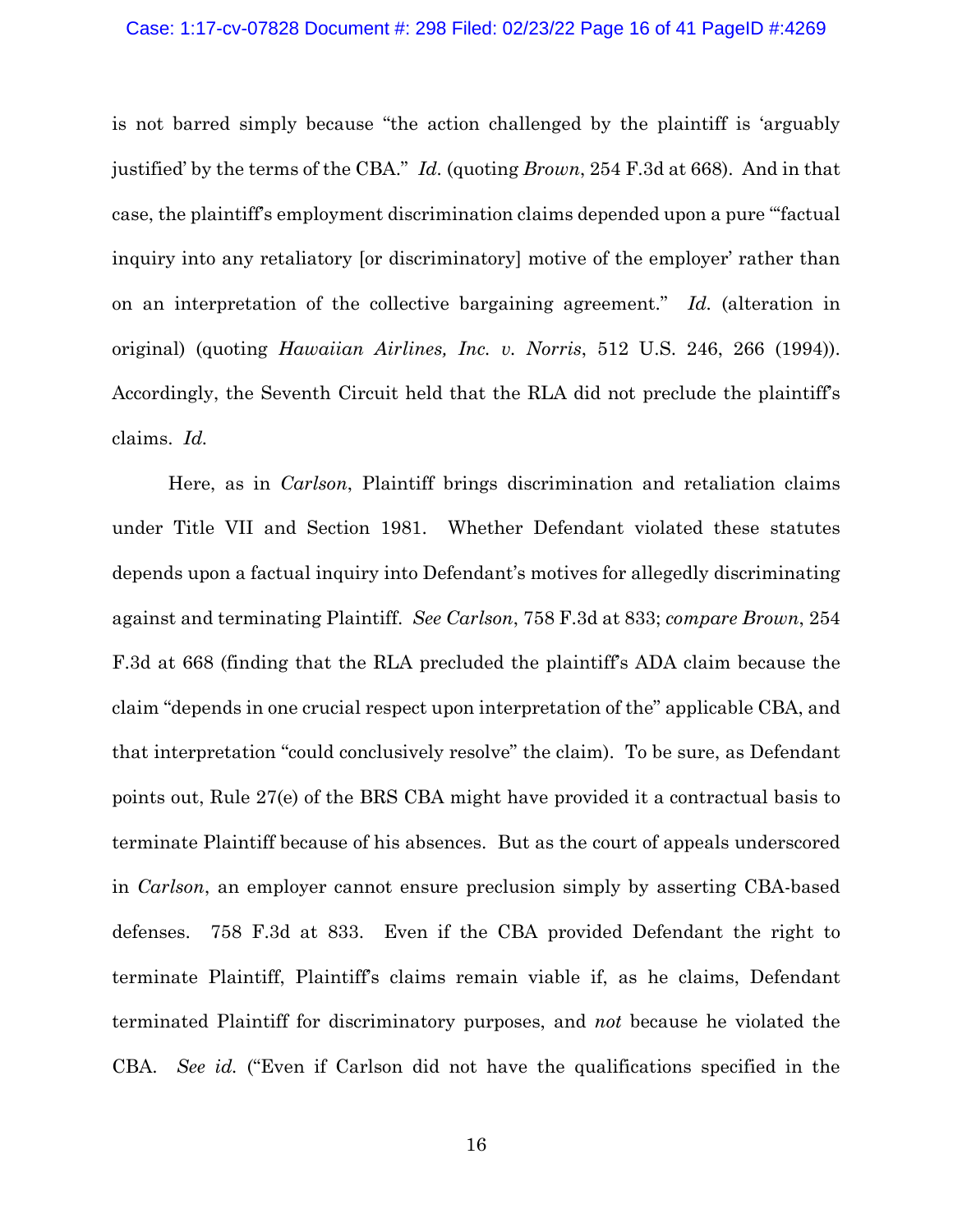### Case: 1:17-cv-07828 Document #: 298 Filed: 02/23/22 Page 16 of 41 PageID #:4269

is not barred simply because "the action challenged by the plaintiff is 'arguably justified' by the terms of the CBA." *Id.* (quoting *Brown*, 254 F.3d at 668). And in that case, the plaintiff's employment discrimination claims depended upon a pure "'factual inquiry into any retaliatory [or discriminatory] motive of the employer' rather than on an interpretation of the collective bargaining agreement." *Id.* (alteration in original) (quoting *Hawaiian Airlines, Inc. v. Norris*, 512 U.S. 246, 266 (1994)). Accordingly, the Seventh Circuit held that the RLA did not preclude the plaintiff's claims. *Id.*

Here, as in *Carlson*, Plaintiff brings discrimination and retaliation claims under Title VII and Section 1981. Whether Defendant violated these statutes depends upon a factual inquiry into Defendant's motives for allegedly discriminating against and terminating Plaintiff. *See Carlson*, 758 F.3d at 833; *compare Brown*, 254 F.3d at 668 (finding that the RLA precluded the plaintiff's ADA claim because the claim "depends in one crucial respect upon interpretation of the" applicable CBA, and that interpretation "could conclusively resolve" the claim). To be sure, as Defendant points out, Rule 27(e) of the BRS CBA might have provided it a contractual basis to terminate Plaintiff because of his absences. But as the court of appeals underscored in *Carlson*, an employer cannot ensure preclusion simply by asserting CBA-based defenses. 758 F.3d at 833. Even if the CBA provided Defendant the right to terminate Plaintiff, Plaintiff's claims remain viable if, as he claims, Defendant terminated Plaintiff for discriminatory purposes, and *not* because he violated the CBA. *See id.* ("Even if Carlson did not have the qualifications specified in the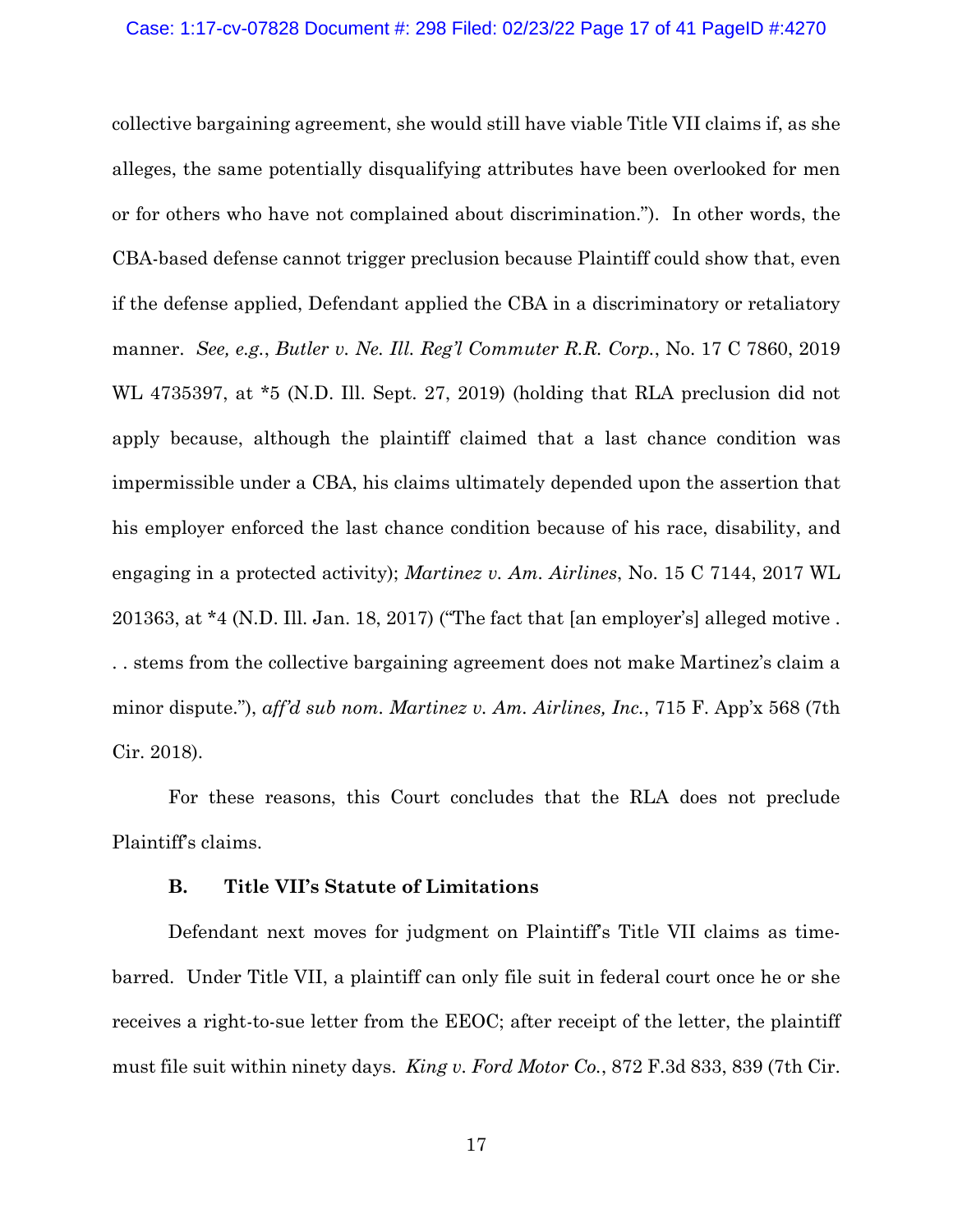collective bargaining agreement, she would still have viable Title VII claims if, as she alleges, the same potentially disqualifying attributes have been overlooked for men or for others who have not complained about discrimination."). In other words, the CBA-based defense cannot trigger preclusion because Plaintiff could show that, even if the defense applied, Defendant applied the CBA in a discriminatory or retaliatory manner. *See, e.g.*, *Butler v. Ne. Ill. Reg'l Commuter R.R. Corp.*, No. 17 C 7860, 2019 WL 4735397, at \*5 (N.D. Ill. Sept. 27, 2019) (holding that RLA preclusion did not apply because, although the plaintiff claimed that a last chance condition was impermissible under a CBA, his claims ultimately depended upon the assertion that his employer enforced the last chance condition because of his race, disability, and engaging in a protected activity); *Martinez v. Am. Airlines*, No. 15 C 7144, 2017 WL 201363, at \*4 (N.D. Ill. Jan. 18, 2017) ("The fact that [an employer's] alleged motive . . . stems from the collective bargaining agreement does not make Martinez's claim a minor dispute."), *aff'd sub nom. Martinez v. Am. Airlines, Inc.*, 715 F. App'x 568 (7th Cir. 2018).

For these reasons, this Court concludes that the RLA does not preclude Plaintiff's claims.

## **B. Title VII's Statute of Limitations**

Defendant next moves for judgment on Plaintiff's Title VII claims as timebarred. Under Title VII, a plaintiff can only file suit in federal court once he or she receives a right-to-sue letter from the EEOC; after receipt of the letter, the plaintiff must file suit within ninety days. *King v. Ford Motor Co.*, 872 F.3d 833, 839 (7th Cir.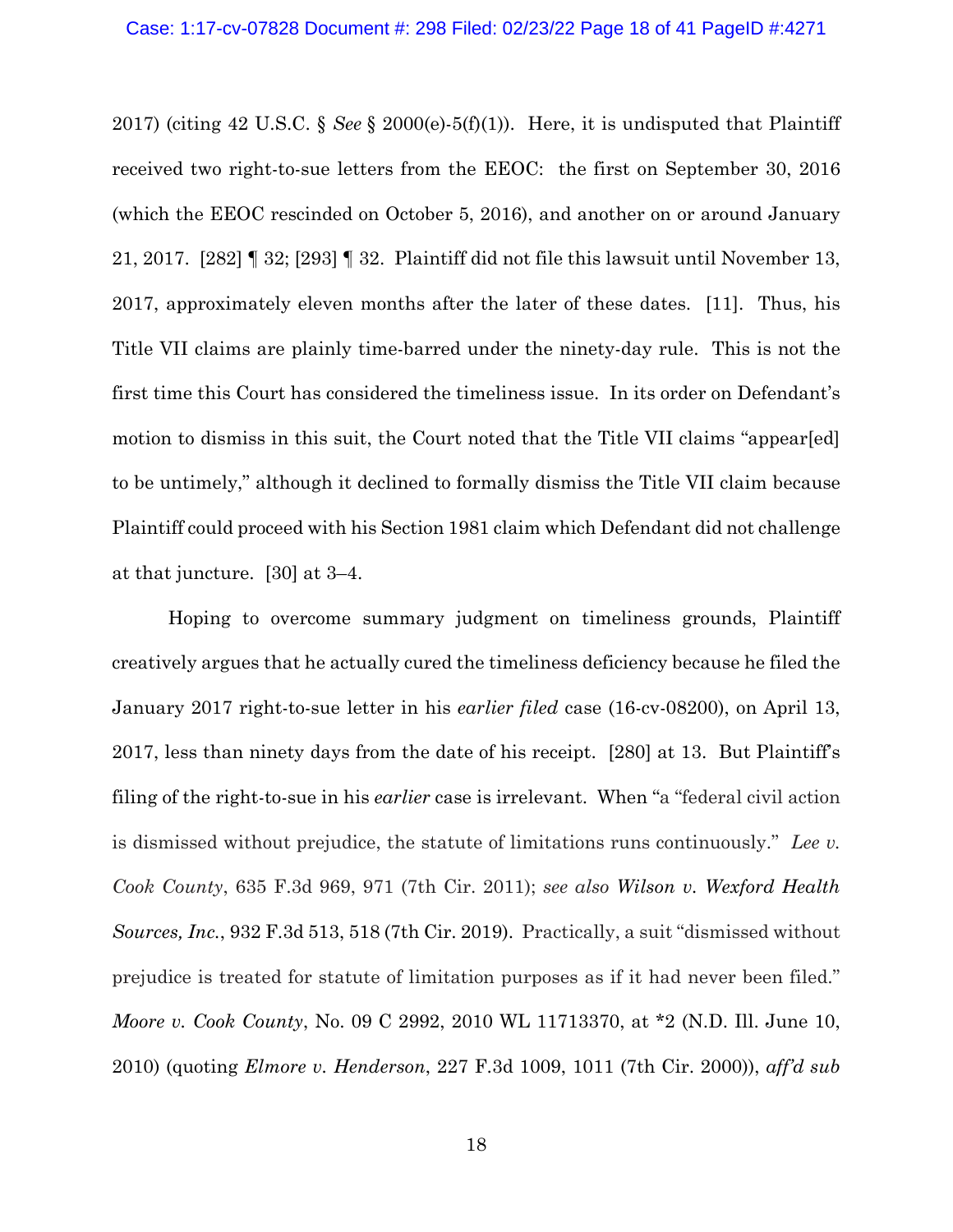2017) (citing 42 U.S.C. § *See* § 2000(e)-5(f)(1)). Here, it is undisputed that Plaintiff received two right-to-sue letters from the EEOC: the first on September 30, 2016 (which the EEOC rescinded on October 5, 2016), and another on or around January 21, 2017. [282] ¶ 32; [293] ¶ 32. Plaintiff did not file this lawsuit until November 13, 2017, approximately eleven months after the later of these dates. [11]. Thus, his Title VII claims are plainly time-barred under the ninety-day rule. This is not the first time this Court has considered the timeliness issue. In its order on Defendant's motion to dismiss in this suit, the Court noted that the Title VII claims "appear[ed] to be untimely," although it declined to formally dismiss the Title VII claim because Plaintiff could proceed with his Section 1981 claim which Defendant did not challenge at that juncture. [30] at 3–4.

Hoping to overcome summary judgment on timeliness grounds, Plaintiff creatively argues that he actually cured the timeliness deficiency because he filed the January 2017 right-to-sue letter in his *earlier filed* case (16-cv-08200), on April 13, 2017, less than ninety days from the date of his receipt. [280] at 13. But Plaintiff's filing of the right-to-sue in his *earlier* case is irrelevant. When "a "federal civil action is dismissed without prejudice, the statute of limitations runs continuously." *Lee v. Cook County*, 635 F.3d 969, 971 (7th Cir. 2011); *see also Wilson v. Wexford Health Sources, Inc.*, 932 F.3d 513, 518 (7th Cir. 2019). Practically, a suit "dismissed without prejudice is treated for statute of limitation purposes as if it had never been filed." *Moore v. Cook County*, No. 09 C 2992, 2010 WL 11713370, at \*2 (N.D. Ill. June 10, 2010) (quoting *Elmore v. Henderson*, 227 F.3d 1009, 1011 (7th Cir. 2000)), *aff'd sub*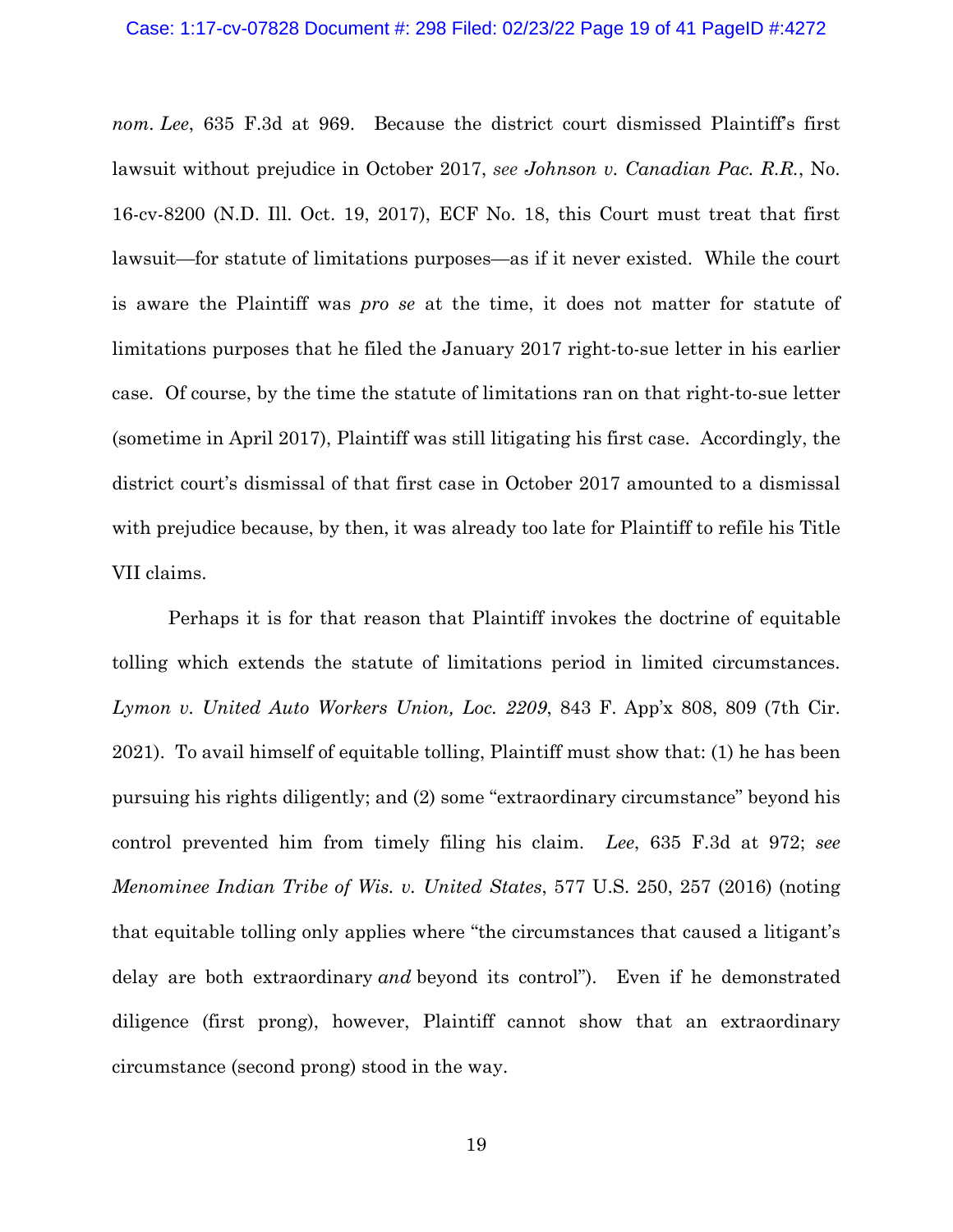### Case: 1:17-cv-07828 Document #: 298 Filed: 02/23/22 Page 19 of 41 PageID #:4272

*nom. Lee*, 635 F.3d at 969. Because the district court dismissed Plaintiff's first lawsuit without prejudice in October 2017, *see Johnson v. Canadian Pac. R.R.*, No. 16-cv-8200 (N.D. Ill. Oct. 19, 2017), ECF No. 18, this Court must treat that first lawsuit—for statute of limitations purposes—as if it never existed. While the court is aware the Plaintiff was *pro se* at the time, it does not matter for statute of limitations purposes that he filed the January 2017 right-to-sue letter in his earlier case. Of course, by the time the statute of limitations ran on that right-to-sue letter (sometime in April 2017), Plaintiff was still litigating his first case. Accordingly, the district court's dismissal of that first case in October 2017 amounted to a dismissal with prejudice because, by then, it was already too late for Plaintiff to refile his Title VII claims.

Perhaps it is for that reason that Plaintiff invokes the doctrine of equitable tolling which extends the statute of limitations period in limited circumstances. *Lymon v. United Auto Workers Union, Loc. 2209*, 843 F. App'x 808, 809 (7th Cir. 2021). To avail himself of equitable tolling, Plaintiff must show that: (1) he has been pursuing his rights diligently; and (2) some "extraordinary circumstance" beyond his control prevented him from timely filing his claim. *Lee*, 635 F.3d at 972; *see Menominee Indian Tribe of Wis. v. United States*, 577 U.S. 250, 257 (2016) (noting that equitable tolling only applies where "the circumstances that caused a litigant's delay are both extraordinary *and* beyond its control"). Even if he demonstrated diligence (first prong), however, Plaintiff cannot show that an extraordinary circumstance (second prong) stood in the way.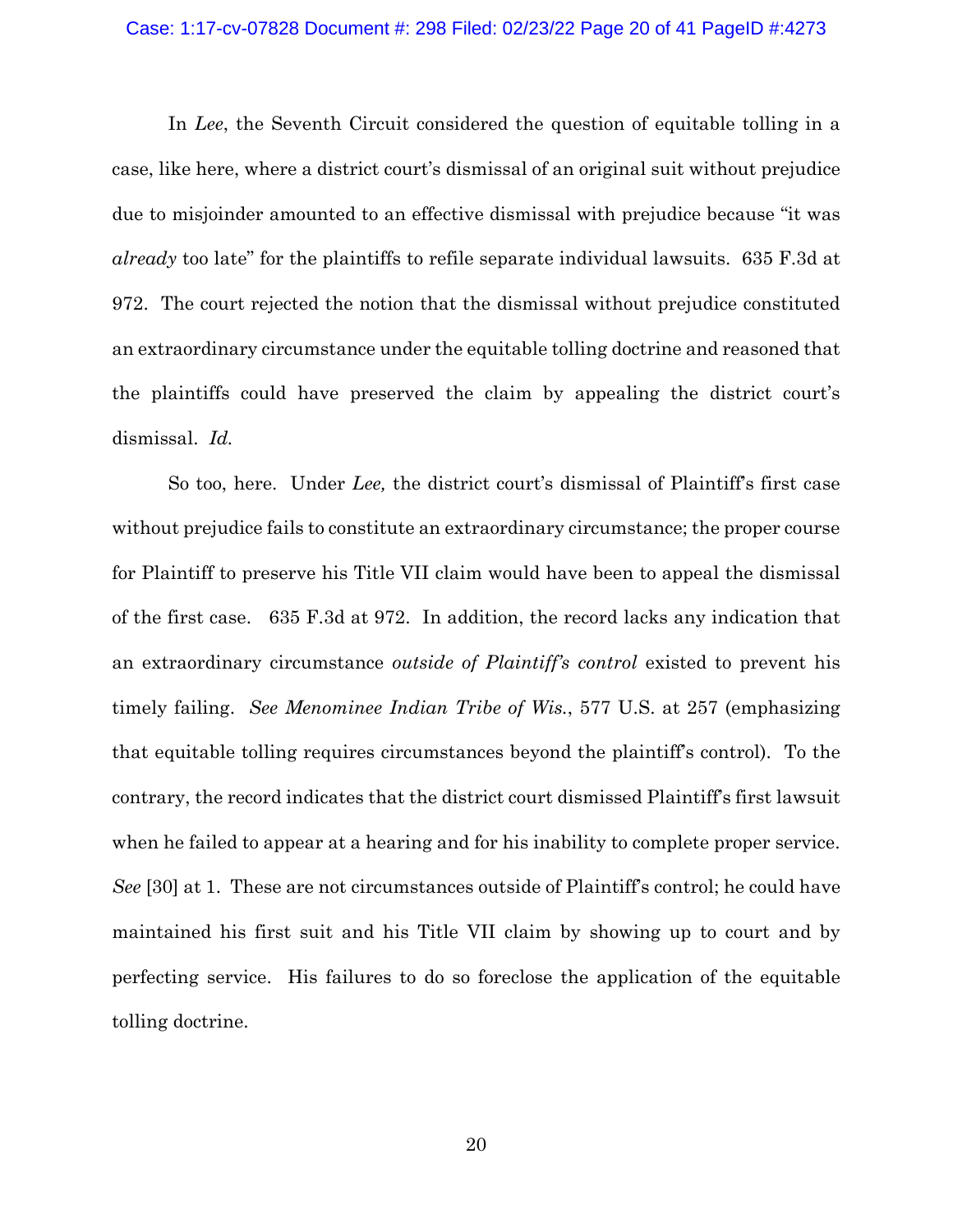### Case: 1:17-cv-07828 Document #: 298 Filed: 02/23/22 Page 20 of 41 PageID #:4273

In *Lee*, the Seventh Circuit considered the question of equitable tolling in a case, like here, where a district court's dismissal of an original suit without prejudice due to misjoinder amounted to an effective dismissal with prejudice because "it was *already* too late" for the plaintiffs to refile separate individual lawsuits. 635 F.3d at 972. The court rejected the notion that the dismissal without prejudice constituted an extraordinary circumstance under the equitable tolling doctrine and reasoned that the plaintiffs could have preserved the claim by appealing the district court's dismissal. *Id.*

So too, here. Under *Lee,* the district court's dismissal of Plaintiff's first case without prejudice fails to constitute an extraordinary circumstance; the proper course for Plaintiff to preserve his Title VII claim would have been to appeal the dismissal of the first case. 635 F.3d at 972. In addition, the record lacks any indication that an extraordinary circumstance *outside of Plaintiff's control* existed to prevent his timely failing. *See Menominee Indian Tribe of Wis.*, 577 U.S. at 257 (emphasizing that equitable tolling requires circumstances beyond the plaintiff's control). To the contrary, the record indicates that the district court dismissed Plaintiff's first lawsuit when he failed to appear at a hearing and for his inability to complete proper service. *See* [30] at 1. These are not circumstances outside of Plaintiff's control; he could have maintained his first suit and his Title VII claim by showing up to court and by perfecting service. His failures to do so foreclose the application of the equitable tolling doctrine.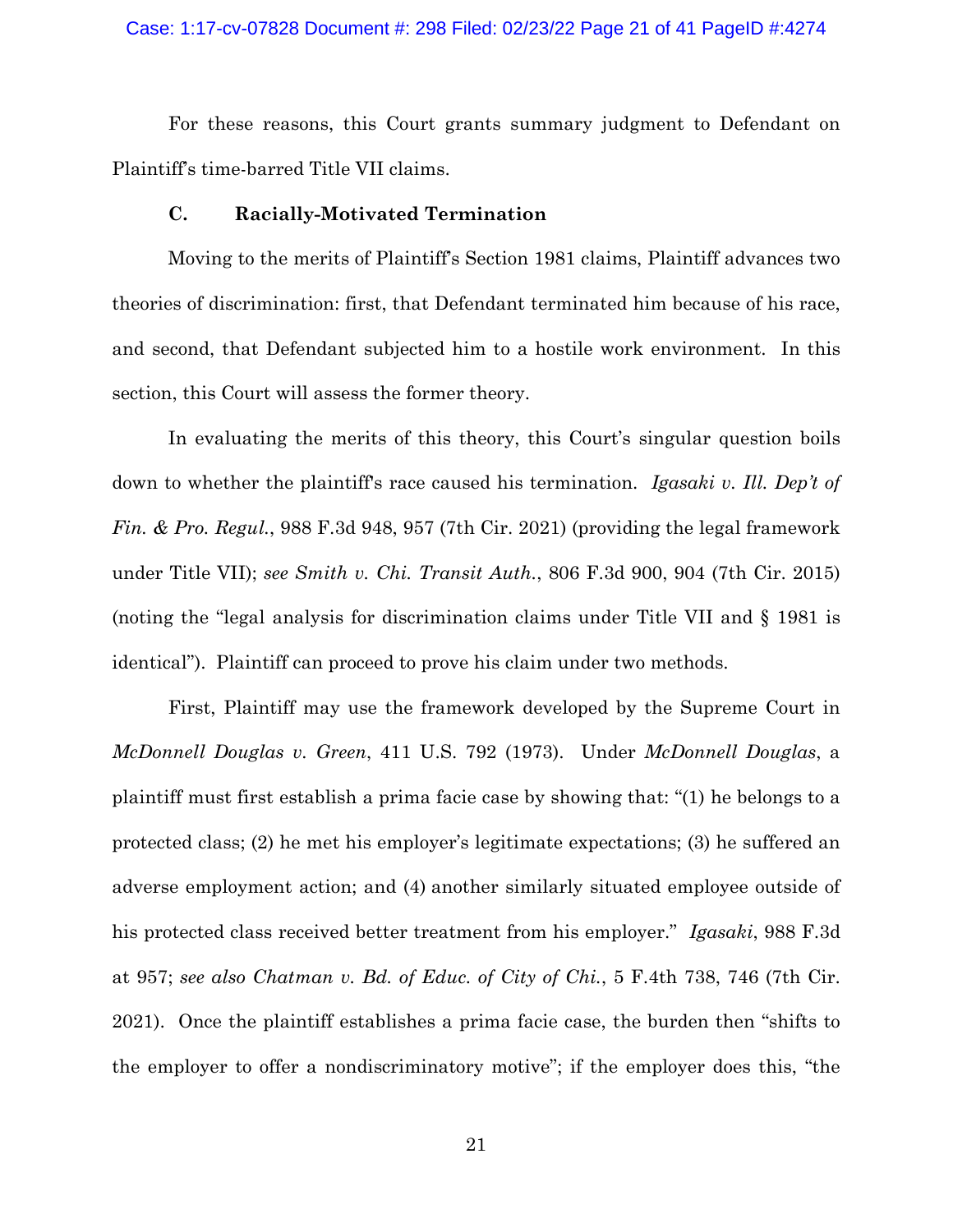### Case: 1:17-cv-07828 Document #: 298 Filed: 02/23/22 Page 21 of 41 PageID #:4274

For these reasons, this Court grants summary judgment to Defendant on Plaintiff's time-barred Title VII claims.

# **C. Racially-Motivated Termination**

Moving to the merits of Plaintiff's Section 1981 claims, Plaintiff advances two theories of discrimination: first, that Defendant terminated him because of his race, and second, that Defendant subjected him to a hostile work environment. In this section, this Court will assess the former theory.

In evaluating the merits of this theory, this Court's singular question boils down to whether the plaintiff's race caused his termination. *Igasaki v. Ill. Dep't of Fin. & Pro. Regul.*, 988 F.3d 948, 957 (7th Cir. 2021) (providing the legal framework under Title VII); *see Smith v. Chi. Transit Auth.*, 806 F.3d 900, 904 (7th Cir. 2015) (noting the "legal analysis for discrimination claims under Title VII and § 1981 is identical"). Plaintiff can proceed to prove his claim under two methods.

First, Plaintiff may use the framework developed by the Supreme Court in *McDonnell Douglas v. Green*, 411 U.S. 792 (1973). Under *McDonnell Douglas*, a plaintiff must first establish a prima facie case by showing that: "(1) he belongs to a protected class; (2) he met his employer's legitimate expectations; (3) he suffered an adverse employment action; and (4) another similarly situated employee outside of his protected class received better treatment from his employer." *Igasaki*, 988 F.3d at 957; *see also Chatman v. Bd. of Educ. of City of Chi.*, 5 F.4th 738, 746 (7th Cir. 2021). Once the plaintiff establishes a prima facie case, the burden then "shifts to the employer to offer a nondiscriminatory motive"; if the employer does this, "the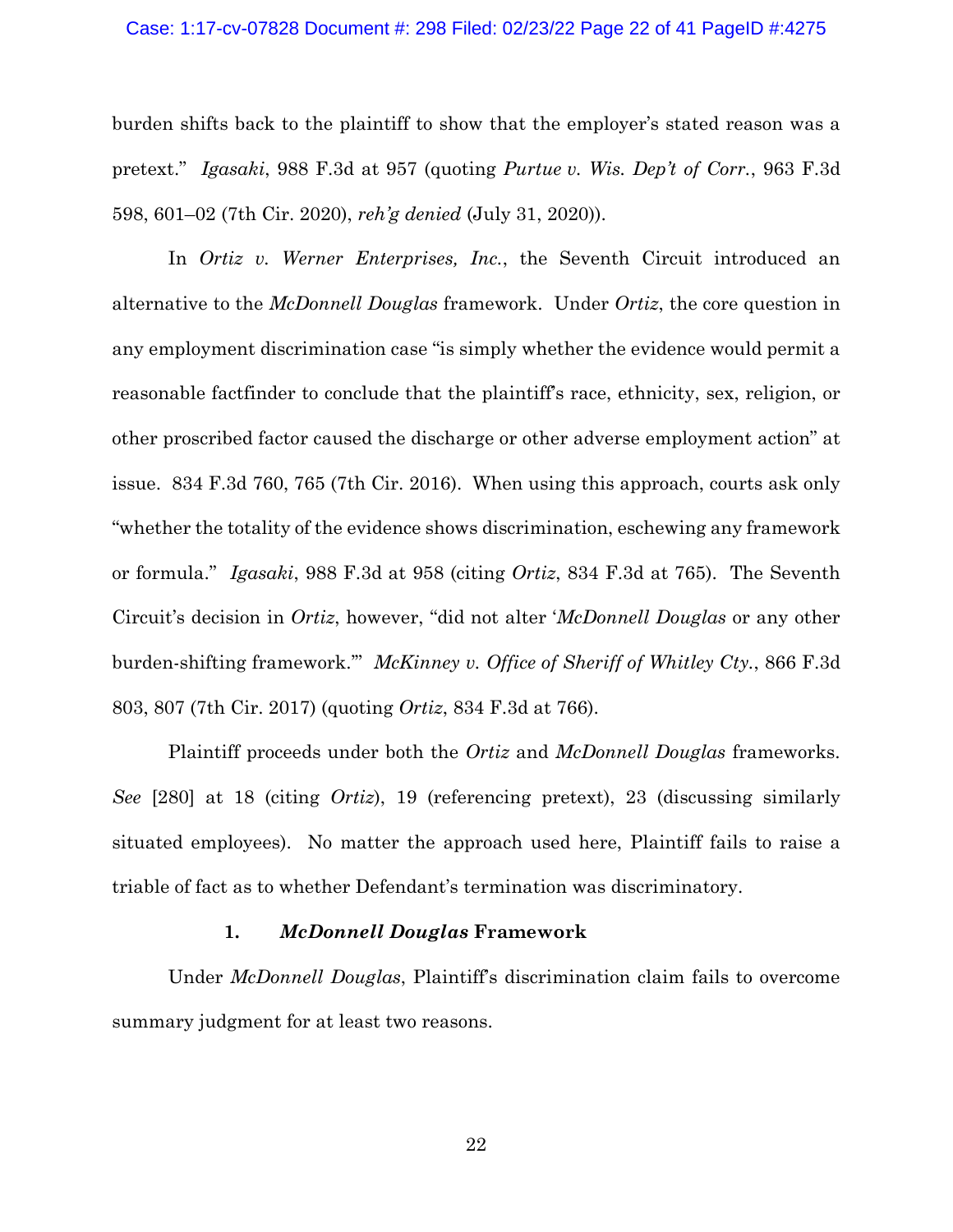### Case: 1:17-cv-07828 Document #: 298 Filed: 02/23/22 Page 22 of 41 PageID #:4275

burden shifts back to the plaintiff to show that the employer's stated reason was a pretext." *Igasaki*, 988 F.3d at 957 (quoting *Purtue v. Wis. Dep't of Corr.*, 963 F.3d 598, 601–02 (7th Cir. 2020), *reh'g denied* (July 31, 2020)).

In *Ortiz v. Werner Enterprises, Inc.*, the Seventh Circuit introduced an alternative to the *McDonnell Douglas* framework. Under *Ortiz*, the core question in any employment discrimination case "is simply whether the evidence would permit a reasonable factfinder to conclude that the plaintiff's race, ethnicity, sex, religion, or other proscribed factor caused the discharge or other adverse employment action" at issue. 834 F.3d 760, 765 (7th Cir. 2016). When using this approach, courts ask only "whether the totality of the evidence shows discrimination, eschewing any framework or formula." *Igasaki*, 988 F.3d at 958 (citing *Ortiz*, 834 F.3d at 765). The Seventh Circuit's decision in *Ortiz*, however, "did not alter '*McDonnell Douglas* or any other burden-shifting framework.'" *McKinney v. Office of Sheriff of Whitley Cty.*, 866 F.3d 803, 807 (7th Cir. 2017) (quoting *Ortiz*, 834 F.3d at 766).

Plaintiff proceeds under both the *Ortiz* and *McDonnell Douglas* frameworks. *See* [280] at 18 (citing *Ortiz*), 19 (referencing pretext), 23 (discussing similarly situated employees). No matter the approach used here, Plaintiff fails to raise a triable of fact as to whether Defendant's termination was discriminatory.

## **1.** *McDonnell Douglas* **Framework**

Under *McDonnell Douglas*, Plaintiff's discrimination claim fails to overcome summary judgment for at least two reasons.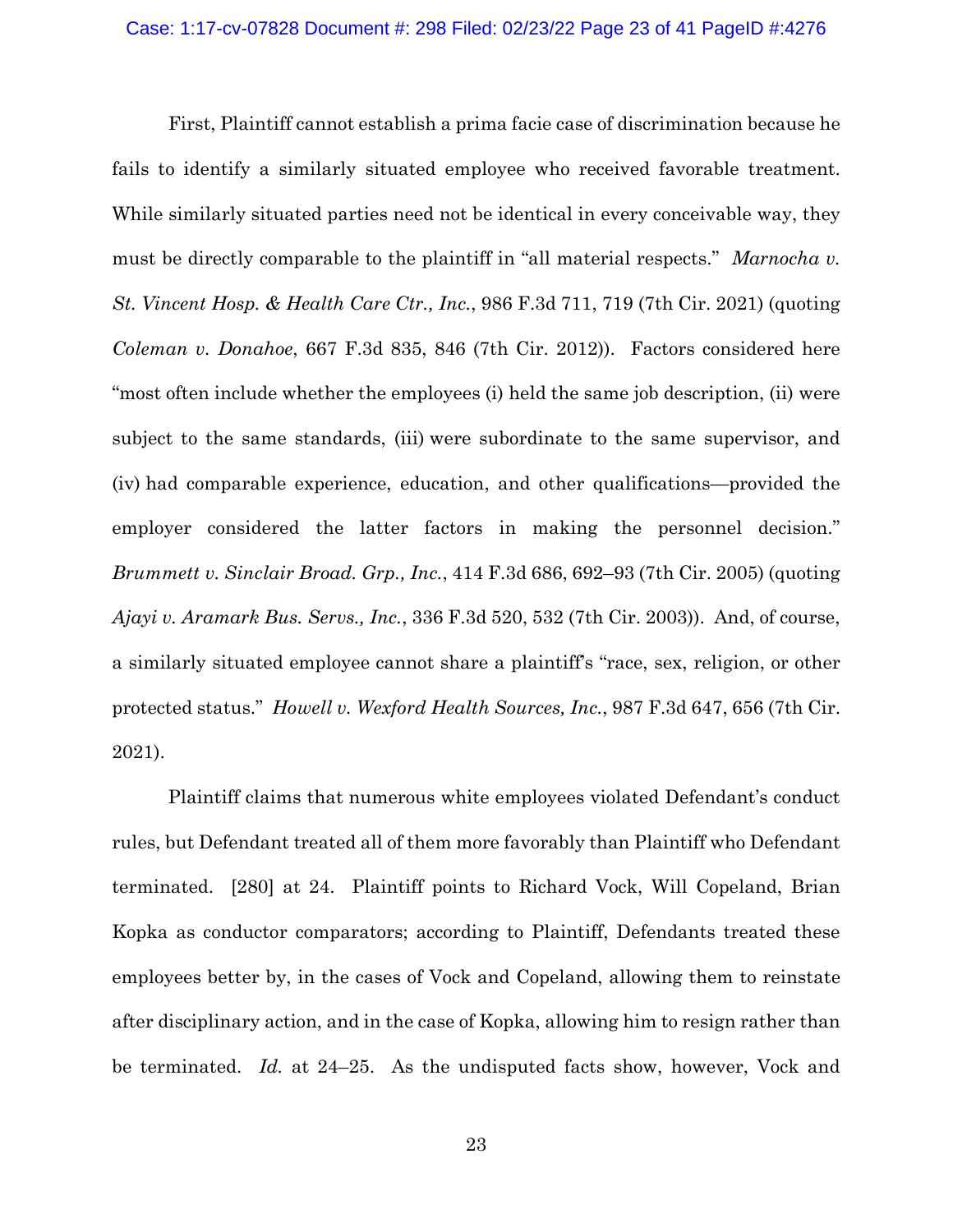First, Plaintiff cannot establish a prima facie case of discrimination because he fails to identify a similarly situated employee who received favorable treatment. While similarly situated parties need not be identical in every conceivable way, they must be directly comparable to the plaintiff in "all material respects." *Marnocha v. St. Vincent Hosp. & Health Care Ctr., Inc.*, 986 F.3d 711, 719 (7th Cir. 2021) (quoting *Coleman v. Donahoe*, 667 F.3d 835, 846 (7th Cir. 2012)). Factors considered here "most often include whether the employees (i) held the same job description, (ii) were subject to the same standards, (iii) were subordinate to the same supervisor, and (iv) had comparable experience, education, and other qualifications—provided the employer considered the latter factors in making the personnel decision." *Brummett v. Sinclair Broad. Grp., Inc.*, 414 F.3d 686, 692–93 (7th Cir. 2005) (quoting *Ajayi v. Aramark Bus. Servs., Inc.*, 336 F.3d 520, 532 (7th Cir. 2003)). And, of course, a similarly situated employee cannot share a plaintiff's "race, sex, religion, or other protected status." *Howell v. Wexford Health Sources, Inc.*, 987 F.3d 647, 656 (7th Cir. 2021).

Plaintiff claims that numerous white employees violated Defendant's conduct rules, but Defendant treated all of them more favorably than Plaintiff who Defendant terminated. [280] at 24. Plaintiff points to Richard Vock, Will Copeland, Brian Kopka as conductor comparators; according to Plaintiff, Defendants treated these employees better by, in the cases of Vock and Copeland, allowing them to reinstate after disciplinary action, and in the case of Kopka, allowing him to resign rather than be terminated. *Id.* at 24–25. As the undisputed facts show, however, Vock and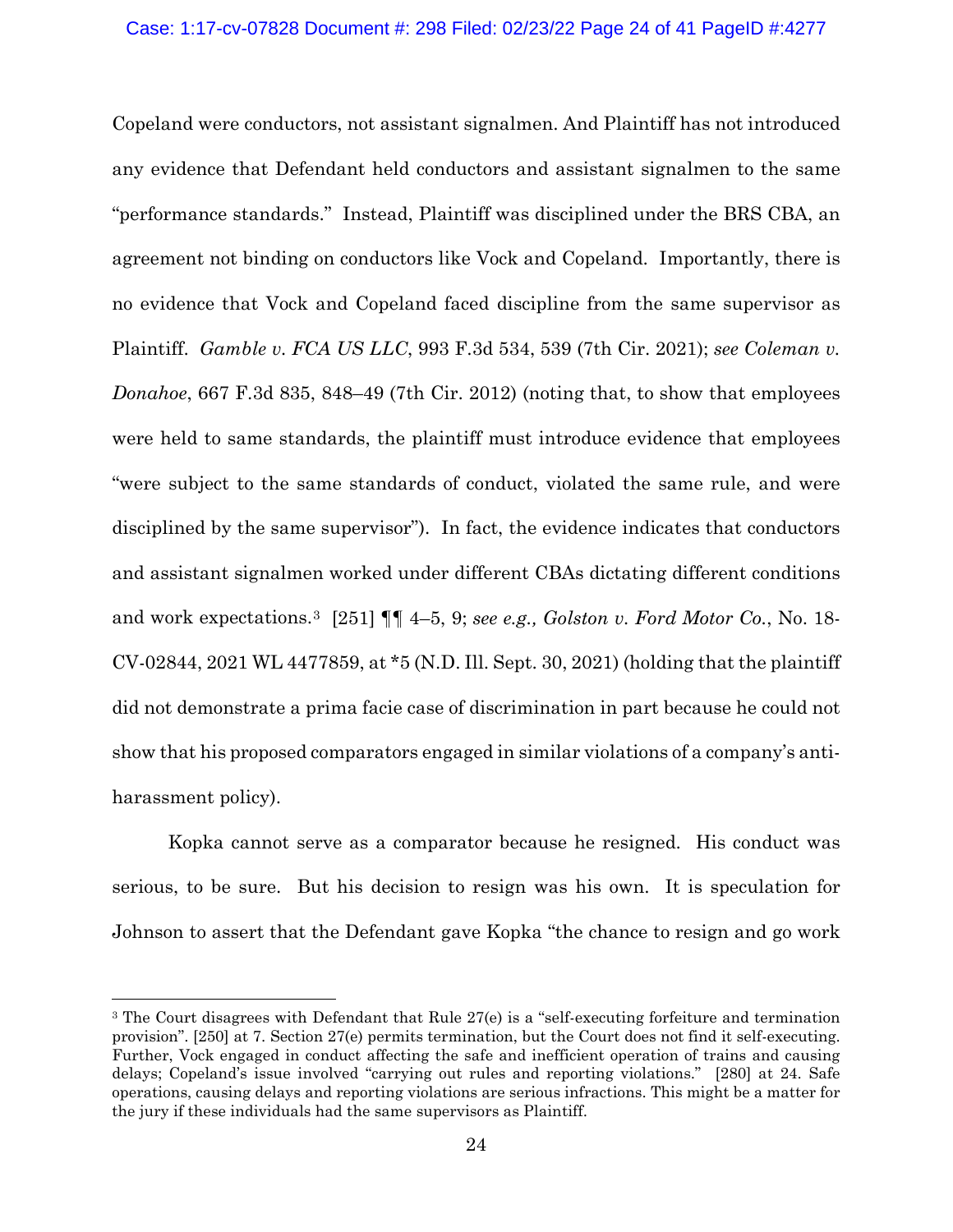Copeland were conductors, not assistant signalmen. And Plaintiff has not introduced any evidence that Defendant held conductors and assistant signalmen to the same "performance standards." Instead, Plaintiff was disciplined under the BRS CBA, an agreement not binding on conductors like Vock and Copeland. Importantly, there is no evidence that Vock and Copeland faced discipline from the same supervisor as Plaintiff. *Gamble v. FCA US LLC*, 993 F.3d 534, 539 (7th Cir. 2021); *see Coleman v. Donahoe*, 667 F.3d 835, 848–49 (7th Cir. 2012) (noting that, to show that employees were held to same standards, the plaintiff must introduce evidence that employees "were subject to the same standards of conduct, violated the same rule, and were disciplined by the same supervisor"). In fact, the evidence indicates that conductors and assistant signalmen worked under different CBAs dictating different conditions and work expectations.[3](#page-23-0) [251] ¶¶ 4–5, 9; *see e.g., Golston v. Ford Motor Co.*, No. 18- CV-02844, 2021 WL 4477859, at \*5 (N.D. Ill. Sept. 30, 2021) (holding that the plaintiff did not demonstrate a prima facie case of discrimination in part because he could not show that his proposed comparators engaged in similar violations of a company's antiharassment policy).

Kopka cannot serve as a comparator because he resigned. His conduct was serious, to be sure. But his decision to resign was his own. It is speculation for Johnson to assert that the Defendant gave Kopka "the chance to resign and go work

<span id="page-23-0"></span><sup>&</sup>lt;sup>3</sup> The Court disagrees with Defendant that Rule 27(e) is a "self-executing forfeiture and termination provision". [250] at 7. Section 27(e) permits termination, but the Court does not find it self-executing. Further, Vock engaged in conduct affecting the safe and inefficient operation of trains and causing delays; Copeland's issue involved "carrying out rules and reporting violations." [280] at 24. Safe operations, causing delays and reporting violations are serious infractions. This might be a matter for the jury if these individuals had the same supervisors as Plaintiff.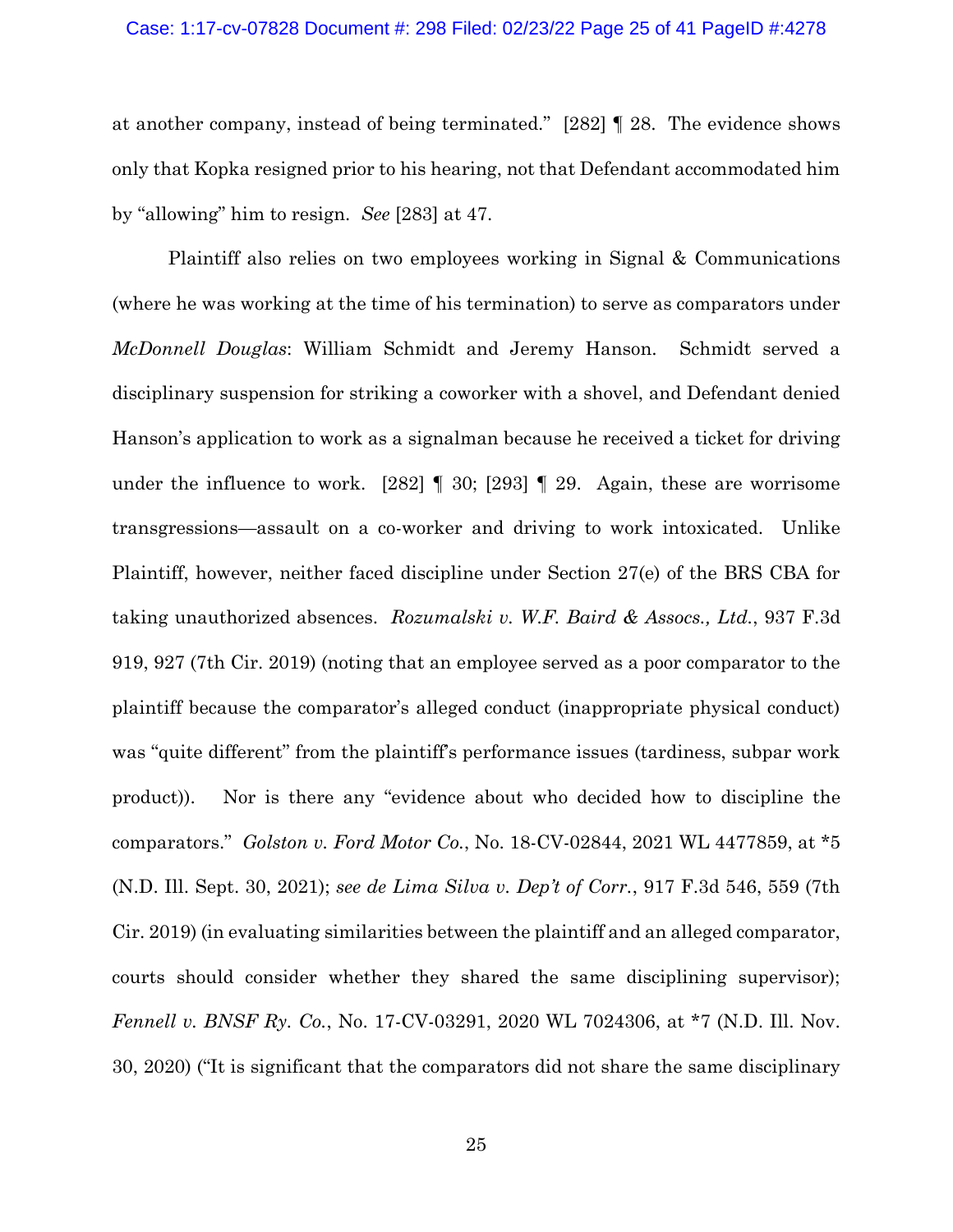## Case: 1:17-cv-07828 Document #: 298 Filed: 02/23/22 Page 25 of 41 PageID #:4278

at another company, instead of being terminated." [282] ¶ 28. The evidence shows only that Kopka resigned prior to his hearing, not that Defendant accommodated him by "allowing" him to resign. *See* [283] at 47.

Plaintiff also relies on two employees working in Signal & Communications (where he was working at the time of his termination) to serve as comparators under *McDonnell Douglas*: William Schmidt and Jeremy Hanson. Schmidt served a disciplinary suspension for striking a coworker with a shovel, and Defendant denied Hanson's application to work as a signalman because he received a ticket for driving under the influence to work. [282]  $\parallel$  30; [293]  $\parallel$  29. Again, these are worrisome transgressions—assault on a co-worker and driving to work intoxicated. Unlike Plaintiff, however, neither faced discipline under Section 27(e) of the BRS CBA for taking unauthorized absences. *Rozumalski v. W.F. Baird & Assocs., Ltd.*, 937 F.3d 919, 927 (7th Cir. 2019) (noting that an employee served as a poor comparator to the plaintiff because the comparator's alleged conduct (inappropriate physical conduct) was "quite different" from the plaintiff's performance issues (tardiness, subpar work product)). Nor is there any "evidence about who decided how to discipline the comparators." *Golston v. Ford Motor Co.*, No. 18-CV-02844, 2021 WL 4477859, at \*5 (N.D. Ill. Sept. 30, 2021); *see de Lima Silva v. Dep't of Corr.*, 917 F.3d 546, 559 (7th Cir. 2019) (in evaluating similarities between the plaintiff and an alleged comparator, courts should consider whether they shared the same disciplining supervisor); *Fennell v. BNSF Ry. Co.*, No. 17-CV-03291, 2020 WL 7024306, at \*7 (N.D. Ill. Nov. 30, 2020) ("It is significant that the comparators did not share the same disciplinary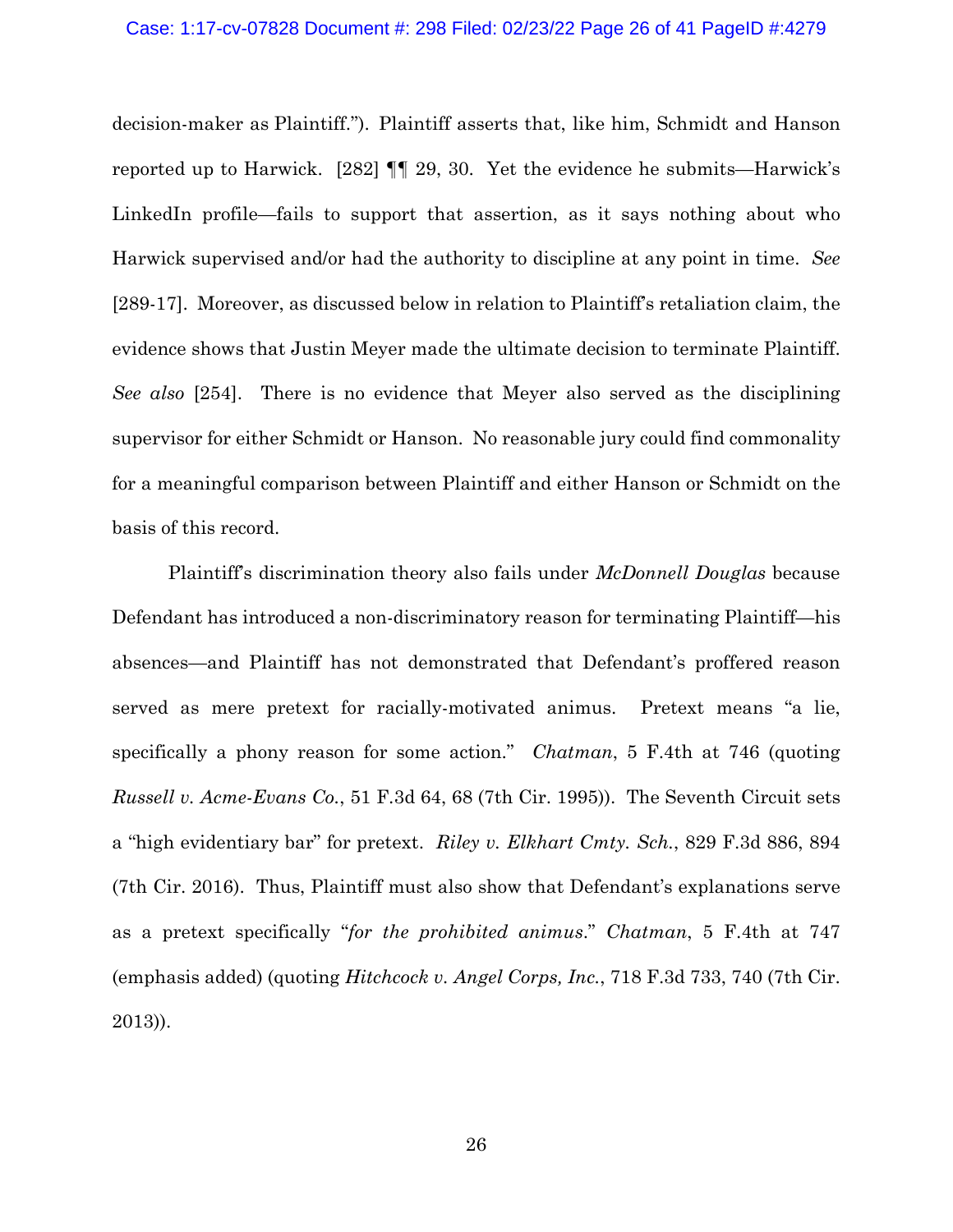decision-maker as Plaintiff."). Plaintiff asserts that, like him, Schmidt and Hanson reported up to Harwick. [282] ¶¶ 29, 30. Yet the evidence he submits—Harwick's LinkedIn profile—fails to support that assertion, as it says nothing about who Harwick supervised and/or had the authority to discipline at any point in time. *See* [289-17]. Moreover, as discussed below in relation to Plaintiff's retaliation claim, the evidence shows that Justin Meyer made the ultimate decision to terminate Plaintiff. *See also* [254]. There is no evidence that Meyer also served as the disciplining supervisor for either Schmidt or Hanson. No reasonable jury could find commonality for a meaningful comparison between Plaintiff and either Hanson or Schmidt on the basis of this record.

Plaintiff's discrimination theory also fails under *McDonnell Douglas* because Defendant has introduced a non-discriminatory reason for terminating Plaintiff—his absences—and Plaintiff has not demonstrated that Defendant's proffered reason served as mere pretext for racially-motivated animus. Pretext means "a lie, specifically a phony reason for some action." *Chatman*, 5 F.4th at 746 (quoting *Russell v. Acme-Evans Co.*, 51 F.3d 64, 68 (7th Cir. 1995)). The Seventh Circuit sets a "high evidentiary bar" for pretext. *Riley v. Elkhart Cmty. Sch.*, 829 F.3d 886, 894 (7th Cir. 2016). Thus, Plaintiff must also show that Defendant's explanations serve as a pretext specifically "*for the prohibited animus*." *Chatman*, 5 F.4th at 747 (emphasis added) (quoting *Hitchcock v. Angel Corps, Inc.*, 718 F.3d 733, 740 (7th Cir. 2013)).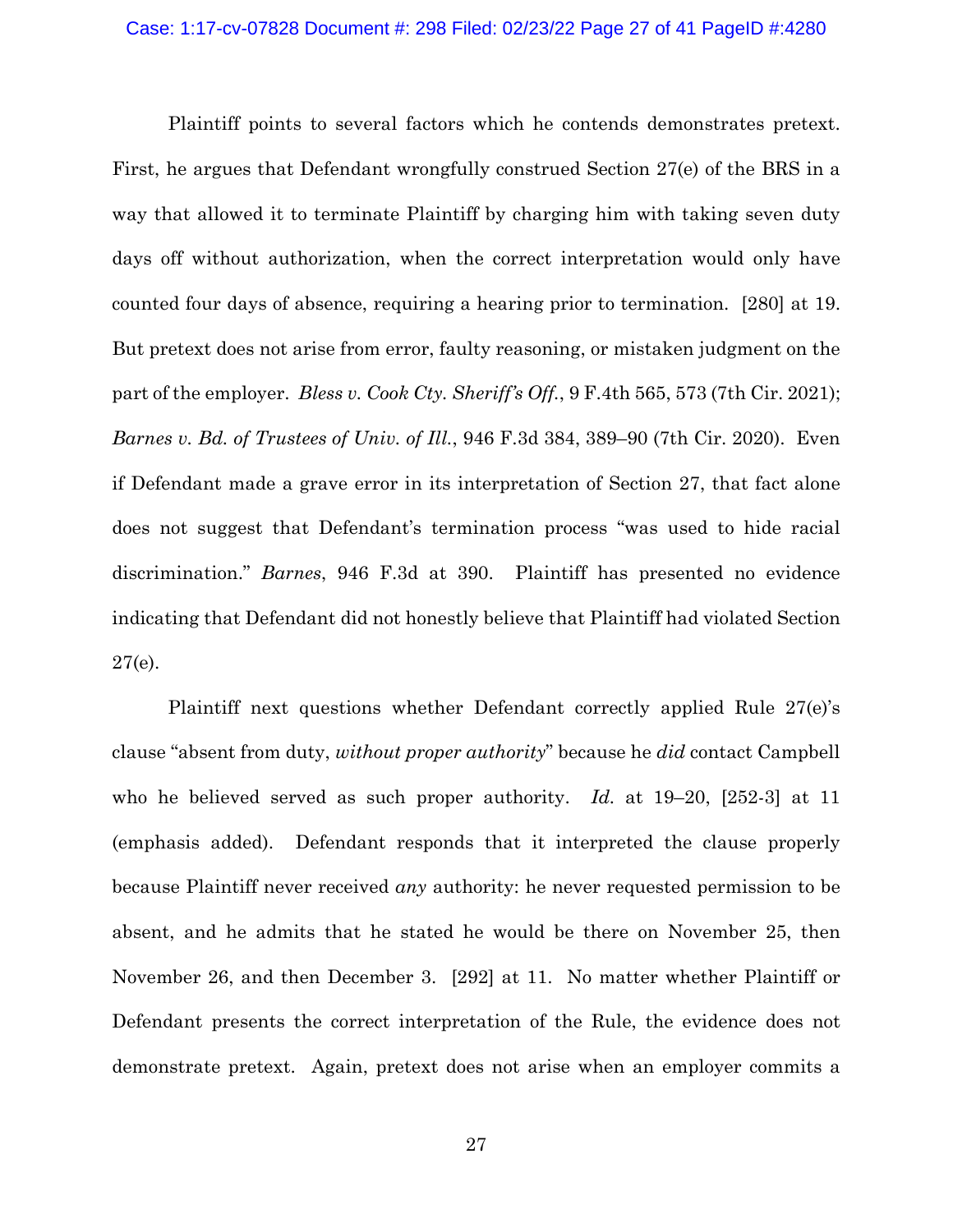Plaintiff points to several factors which he contends demonstrates pretext. First, he argues that Defendant wrongfully construed Section 27(e) of the BRS in a way that allowed it to terminate Plaintiff by charging him with taking seven duty days off without authorization, when the correct interpretation would only have counted four days of absence, requiring a hearing prior to termination. [280] at 19. But pretext does not arise from error, faulty reasoning, or mistaken judgment on the part of the employer. *Bless v. Cook Cty. Sheriff's Off.*, 9 F.4th 565, 573 (7th Cir. 2021); *Barnes v. Bd. of Trustees of Univ. of Ill.*, 946 F.3d 384, 389–90 (7th Cir. 2020). Even if Defendant made a grave error in its interpretation of Section 27, that fact alone does not suggest that Defendant's termination process "was used to hide racial discrimination." *Barnes*, 946 F.3d at 390. Plaintiff has presented no evidence indicating that Defendant did not honestly believe that Plaintiff had violated Section 27(e).

Plaintiff next questions whether Defendant correctly applied Rule 27(e)'s clause "absent from duty, *without proper authority*" because he *did* contact Campbell who he believed served as such proper authority. *Id.* at 19–20, [252-3] at 11 (emphasis added). Defendant responds that it interpreted the clause properly because Plaintiff never received *any* authority: he never requested permission to be absent, and he admits that he stated he would be there on November 25, then November 26, and then December 3. [292] at 11. No matter whether Plaintiff or Defendant presents the correct interpretation of the Rule, the evidence does not demonstrate pretext. Again, pretext does not arise when an employer commits a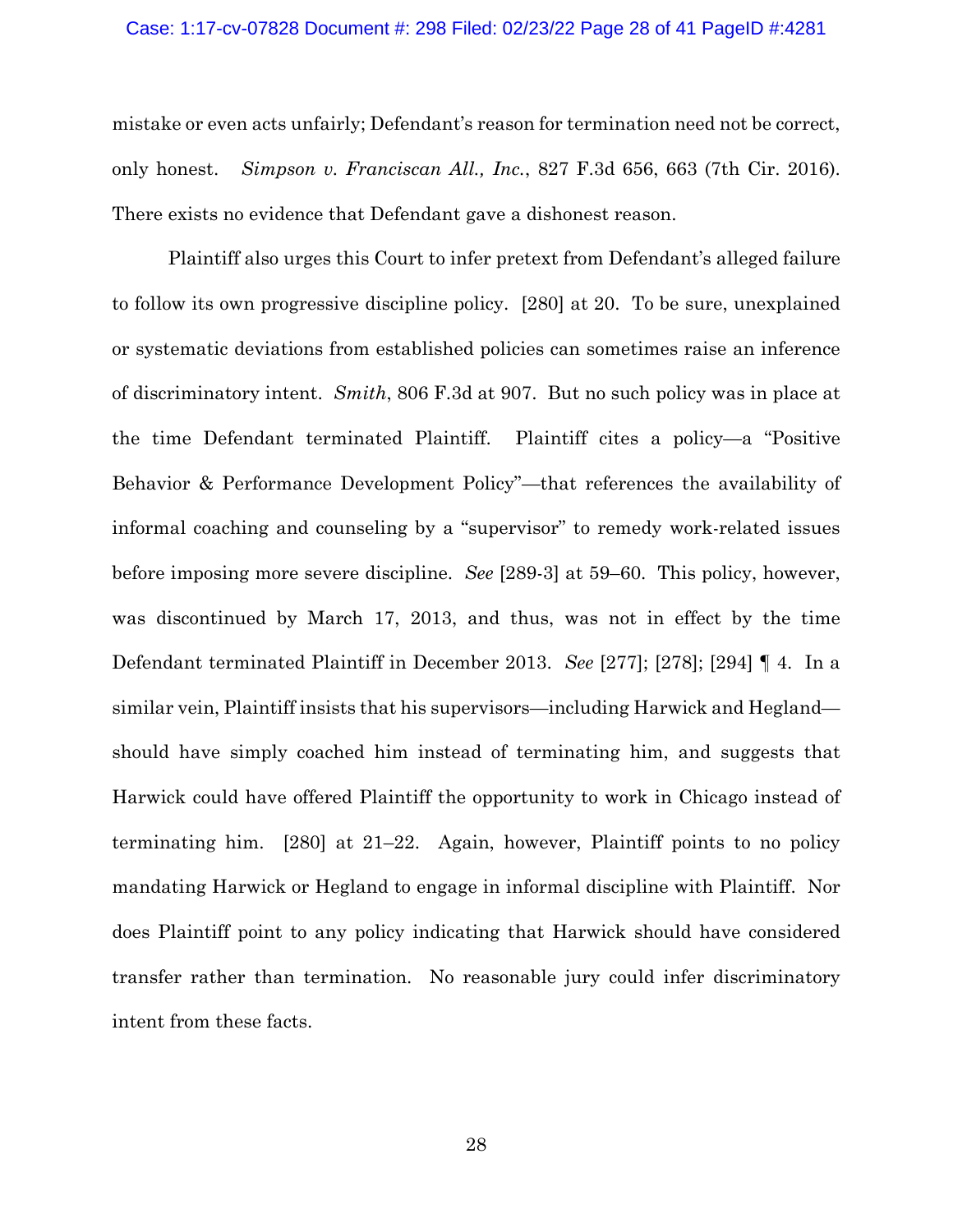### Case: 1:17-cv-07828 Document #: 298 Filed: 02/23/22 Page 28 of 41 PageID #:4281

mistake or even acts unfairly; Defendant's reason for termination need not be correct, only honest. *Simpson v. Franciscan All., Inc.*, 827 F.3d 656, 663 (7th Cir. 2016). There exists no evidence that Defendant gave a dishonest reason.

Plaintiff also urges this Court to infer pretext from Defendant's alleged failure to follow its own progressive discipline policy. [280] at 20. To be sure, unexplained or systematic deviations from established policies can sometimes raise an inference of discriminatory intent. *Smith*, 806 F.3d at 907. But no such policy was in place at the time Defendant terminated Plaintiff. Plaintiff cites a policy—a "Positive Behavior & Performance Development Policy"—that references the availability of informal coaching and counseling by a "supervisor" to remedy work-related issues before imposing more severe discipline. *See* [289-3] at 59–60. This policy, however, was discontinued by March 17, 2013, and thus, was not in effect by the time Defendant terminated Plaintiff in December 2013. *See* [277]; [278]; [294] ¶ 4. In a similar vein, Plaintiff insists that his supervisors—including Harwick and Hegland should have simply coached him instead of terminating him, and suggests that Harwick could have offered Plaintiff the opportunity to work in Chicago instead of terminating him. [280] at 21–22. Again, however, Plaintiff points to no policy mandating Harwick or Hegland to engage in informal discipline with Plaintiff. Nor does Plaintiff point to any policy indicating that Harwick should have considered transfer rather than termination. No reasonable jury could infer discriminatory intent from these facts.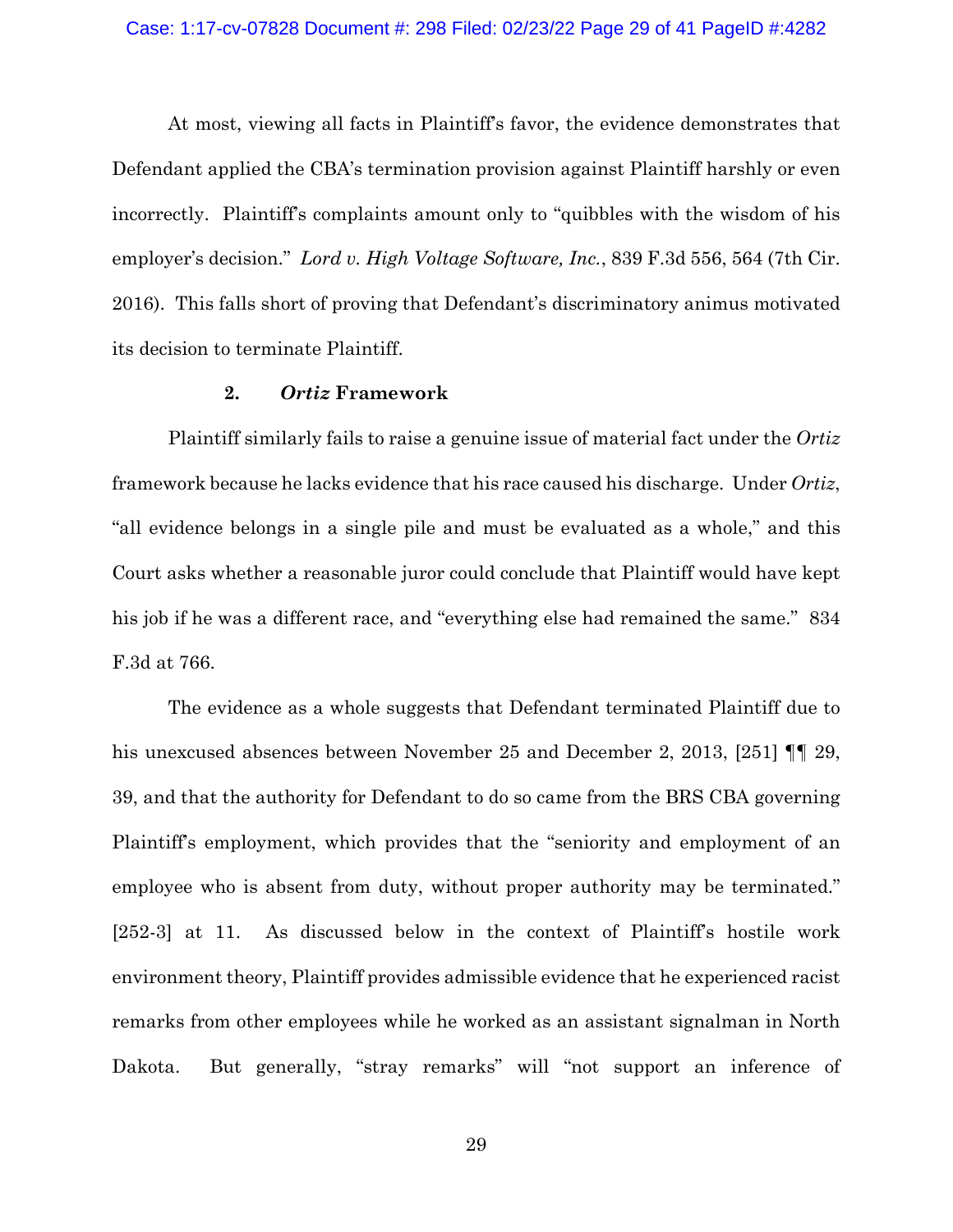At most, viewing all facts in Plaintiff's favor, the evidence demonstrates that Defendant applied the CBA's termination provision against Plaintiff harshly or even incorrectly. Plaintiff's complaints amount only to "quibbles with the wisdom of his employer's decision." *Lord v. High Voltage Software, Inc.*, 839 F.3d 556, 564 (7th Cir. 2016). This falls short of proving that Defendant's discriminatory animus motivated its decision to terminate Plaintiff.

# **2.** *Ortiz* **Framework**

Plaintiff similarly fails to raise a genuine issue of material fact under the *Ortiz* framework because he lacks evidence that his race caused his discharge. Under *Ortiz*, "all evidence belongs in a single pile and must be evaluated as a whole," and this Court asks whether a reasonable juror could conclude that Plaintiff would have kept his job if he was a different race, and "everything else had remained the same." 834 F.3d at 766.

The evidence as a whole suggests that Defendant terminated Plaintiff due to his unexcused absences between November 25 and December 2, 2013, [251] **[1]** 29, 39, and that the authority for Defendant to do so came from the BRS CBA governing Plaintiff's employment, which provides that the "seniority and employment of an employee who is absent from duty, without proper authority may be terminated." [252-3] at 11. As discussed below in the context of Plaintiff's hostile work environment theory, Plaintiff provides admissible evidence that he experienced racist remarks from other employees while he worked as an assistant signalman in North Dakota. But generally, "stray remarks" will "not support an inference of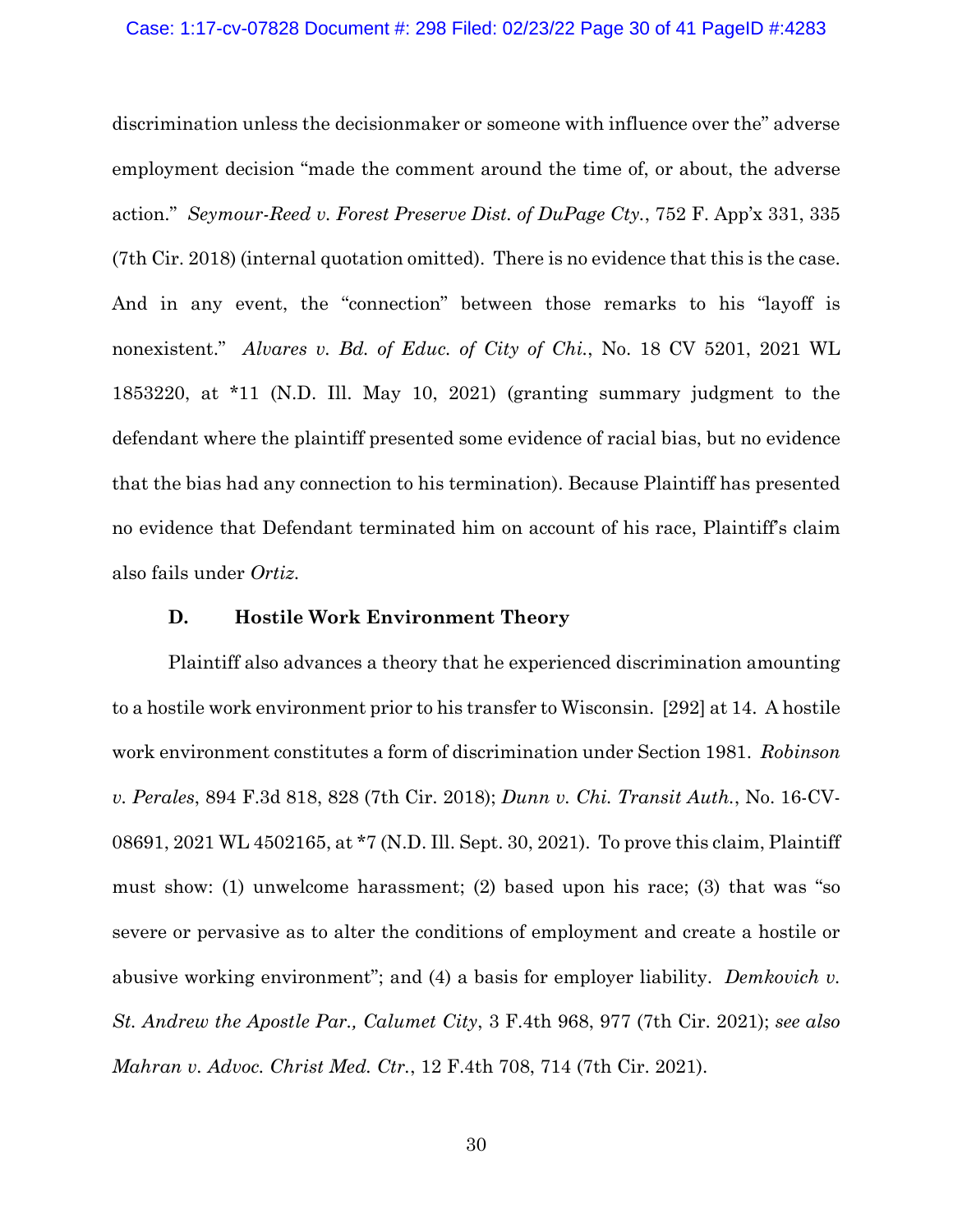discrimination unless the decisionmaker or someone with influence over the" adverse employment decision "made the comment around the time of, or about, the adverse action." *Seymour-Reed v. Forest Preserve Dist. of DuPage Cty.*, 752 F. App'x 331, 335 (7th Cir. 2018) (internal quotation omitted). There is no evidence that this is the case. And in any event, the "connection" between those remarks to his "layoff is nonexistent." *Alvares v. Bd. of Educ. of City of Chi.*, No. 18 CV 5201, 2021 WL 1853220, at \*11 (N.D. Ill. May 10, 2021) (granting summary judgment to the defendant where the plaintiff presented some evidence of racial bias, but no evidence that the bias had any connection to his termination). Because Plaintiff has presented no evidence that Defendant terminated him on account of his race, Plaintiff's claim also fails under *Ortiz*.

### **D. Hostile Work Environment Theory**

Plaintiff also advances a theory that he experienced discrimination amounting to a hostile work environment prior to his transfer to Wisconsin. [292] at 14. A hostile work environment constitutes a form of discrimination under Section 1981. *Robinson v. Perales*, 894 F.3d 818, 828 (7th Cir. 2018); *Dunn v. Chi. Transit Auth.*, No. 16-CV-08691, 2021 WL 4502165, at \*7 (N.D. Ill. Sept. 30, 2021). To prove this claim, Plaintiff must show: (1) unwelcome harassment; (2) based upon his race; (3) that was "so severe or pervasive as to alter the conditions of employment and create a hostile or abusive working environment"; and (4) a basis for employer liability. *Demkovich v. St. Andrew the Apostle Par., Calumet City*, 3 F.4th 968, 977 (7th Cir. 2021); *see also Mahran v. Advoc. Christ Med. Ctr.*, 12 F.4th 708, 714 (7th Cir. 2021).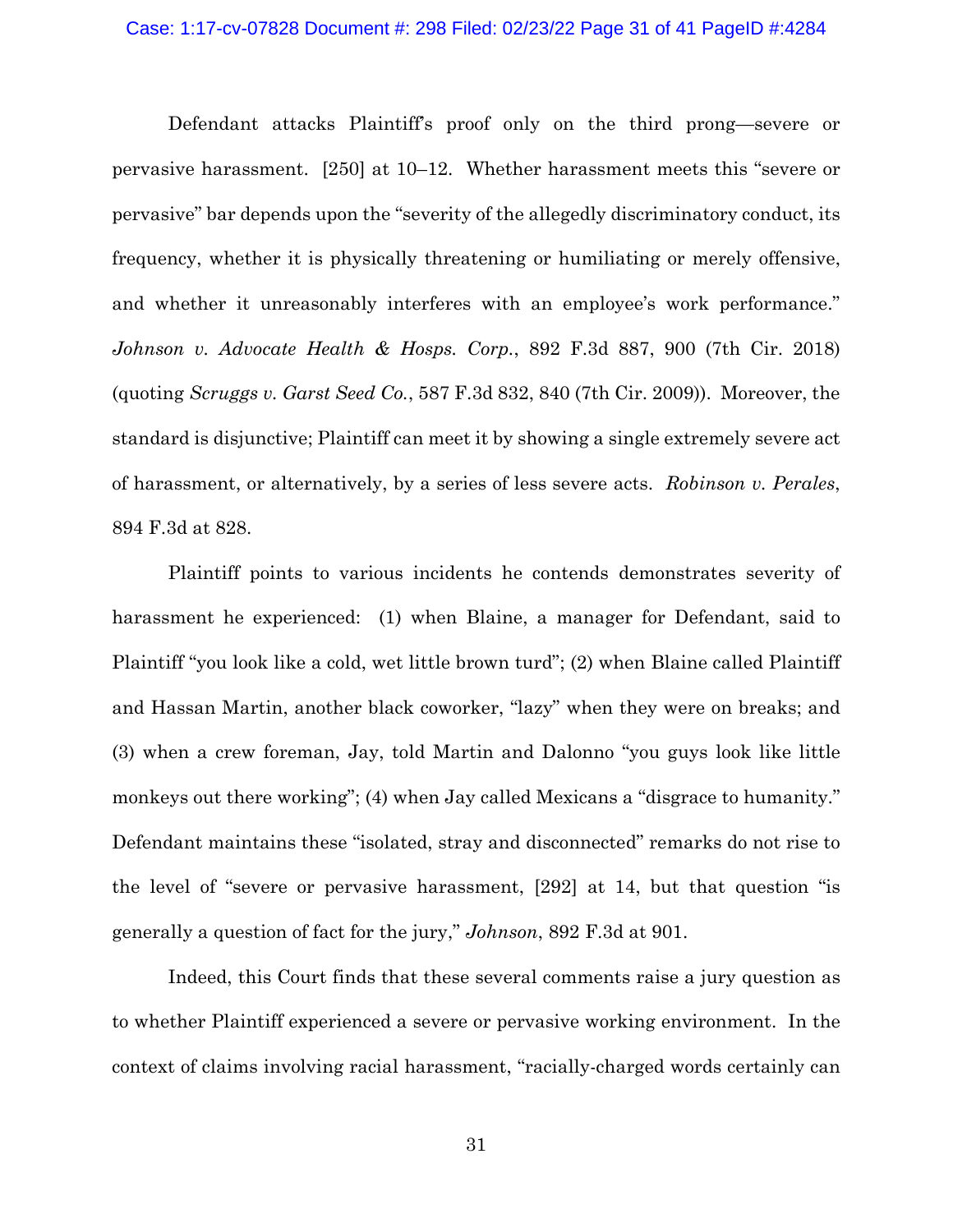### Case: 1:17-cv-07828 Document #: 298 Filed: 02/23/22 Page 31 of 41 PageID #:4284

Defendant attacks Plaintiff's proof only on the third prong—severe or pervasive harassment. [250] at 10–12. Whether harassment meets this "severe or pervasive" bar depends upon the "severity of the allegedly discriminatory conduct, its frequency, whether it is physically threatening or humiliating or merely offensive, and whether it unreasonably interferes with an employee's work performance." *Johnson v. Advocate Health & Hosps. Corp.*, 892 F.3d 887, 900 (7th Cir. 2018) (quoting *Scruggs v. Garst Seed Co.*, 587 F.3d 832, 840 (7th Cir. 2009)). Moreover, the standard is disjunctive; Plaintiff can meet it by showing a single extremely severe act of harassment, or alternatively, by a series of less severe acts. *Robinson v. Perales*, 894 F.3d at 828.

Plaintiff points to various incidents he contends demonstrates severity of harassment he experienced: (1) when Blaine, a manager for Defendant, said to Plaintiff "you look like a cold, wet little brown turd"; (2) when Blaine called Plaintiff and Hassan Martin, another black coworker, "lazy" when they were on breaks; and (3) when a crew foreman, Jay, told Martin and Dalonno "you guys look like little monkeys out there working"; (4) when Jay called Mexicans a "disgrace to humanity." Defendant maintains these "isolated, stray and disconnected" remarks do not rise to the level of "severe or pervasive harassment, [292] at 14, but that question "is generally a question of fact for the jury," *Johnson*, 892 F.3d at 901.

Indeed, this Court finds that these several comments raise a jury question as to whether Plaintiff experienced a severe or pervasive working environment. In the context of claims involving racial harassment, "racially-charged words certainly can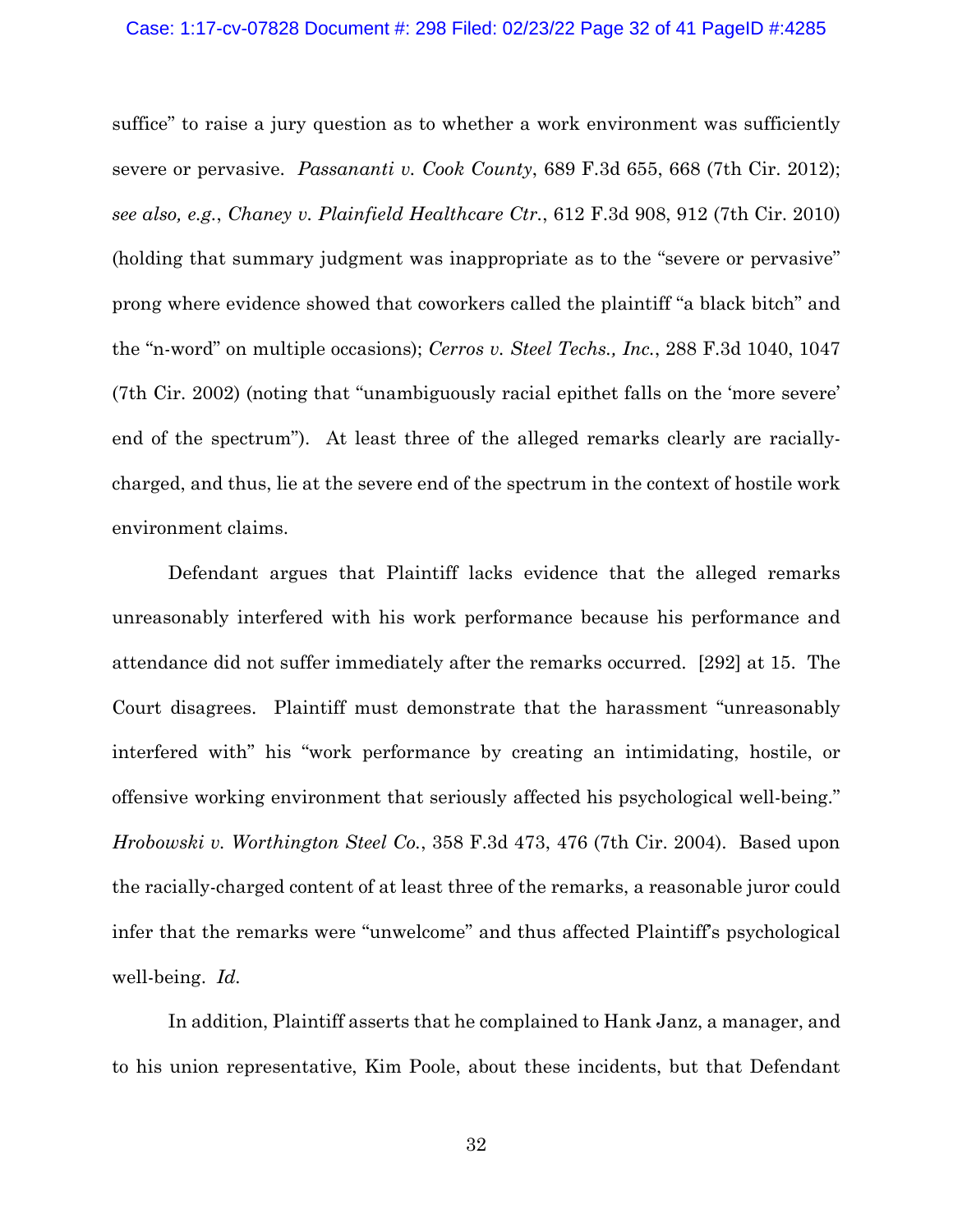#### Case: 1:17-cv-07828 Document #: 298 Filed: 02/23/22 Page 32 of 41 PageID #:4285

suffice" to raise a jury question as to whether a work environment was sufficiently severe or pervasive. *Passananti v. Cook County*, 689 F.3d 655, 668 (7th Cir. 2012); *see also, e.g.*, *Chaney v. Plainfield Healthcare Ctr.*, 612 F.3d 908, 912 (7th Cir. 2010) (holding that summary judgment was inappropriate as to the "severe or pervasive" prong where evidence showed that coworkers called the plaintiff "a black bitch" and the "n-word" on multiple occasions); *Cerros v. Steel Techs., Inc.*, 288 F.3d 1040, 1047 (7th Cir. 2002) (noting that "unambiguously racial epithet falls on the 'more severe' end of the spectrum"). At least three of the alleged remarks clearly are raciallycharged, and thus, lie at the severe end of the spectrum in the context of hostile work environment claims.

Defendant argues that Plaintiff lacks evidence that the alleged remarks unreasonably interfered with his work performance because his performance and attendance did not suffer immediately after the remarks occurred. [292] at 15. The Court disagrees. Plaintiff must demonstrate that the harassment "unreasonably interfered with" his "work performance by creating an intimidating, hostile, or offensive working environment that seriously affected his psychological well-being." *Hrobowski v. Worthington Steel Co.*, 358 F.3d 473, 476 (7th Cir. 2004). Based upon the racially-charged content of at least three of the remarks, a reasonable juror could infer that the remarks were "unwelcome" and thus affected Plaintiff's psychological well-being. *Id.*

In addition, Plaintiff asserts that he complained to Hank Janz, a manager, and to his union representative, Kim Poole, about these incidents, but that Defendant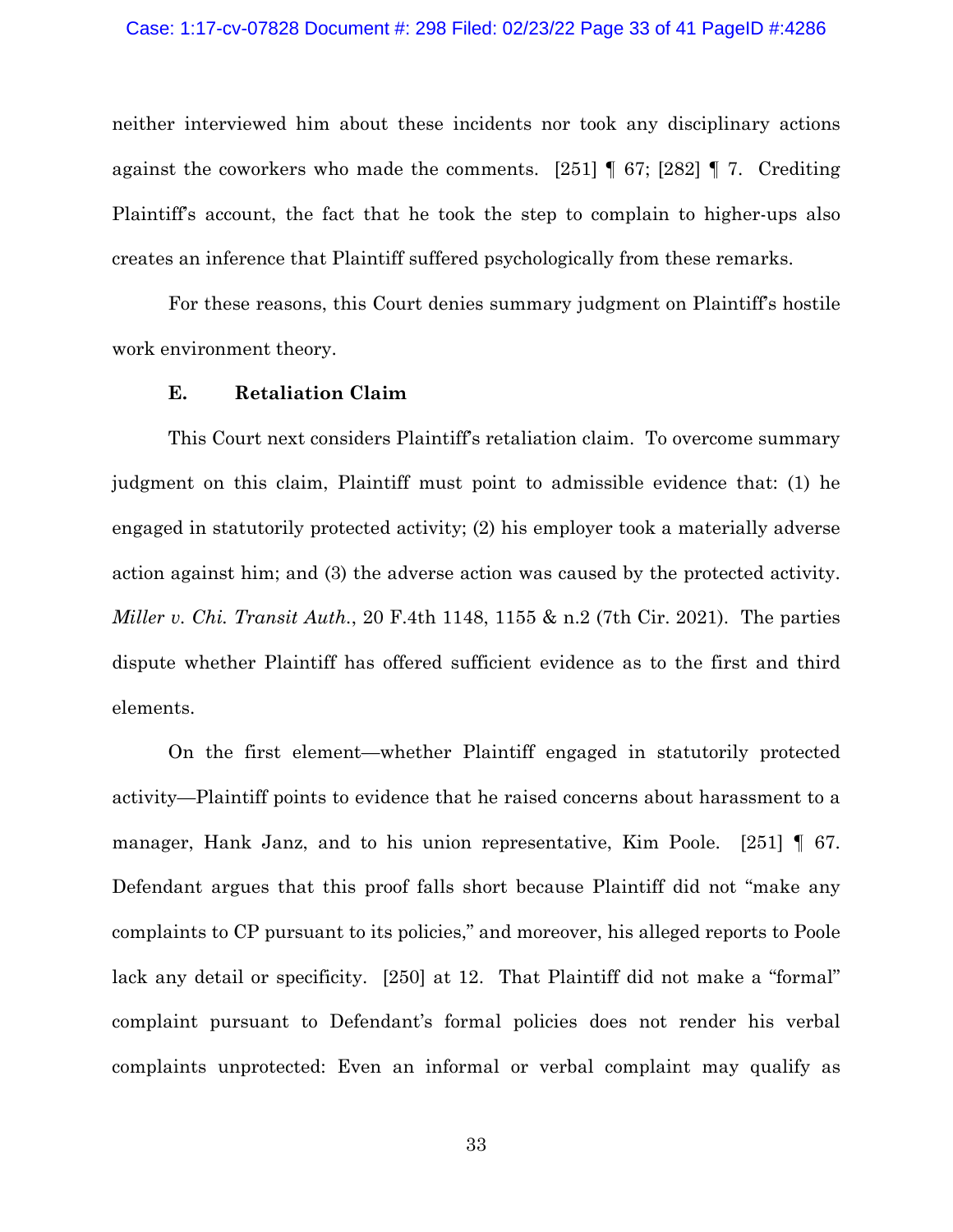### Case: 1:17-cv-07828 Document #: 298 Filed: 02/23/22 Page 33 of 41 PageID #:4286

neither interviewed him about these incidents nor took any disciplinary actions against the coworkers who made the comments. [251]  $\parallel$  67; [282]  $\parallel$  7. Crediting Plaintiff's account, the fact that he took the step to complain to higher-ups also creates an inference that Plaintiff suffered psychologically from these remarks.

For these reasons, this Court denies summary judgment on Plaintiff's hostile work environment theory.

# **E. Retaliation Claim**

This Court next considers Plaintiff's retaliation claim. To overcome summary judgment on this claim, Plaintiff must point to admissible evidence that: (1) he engaged in statutorily protected activity; (2) his employer took a materially adverse action against him; and (3) the adverse action was caused by the protected activity. *Miller v. Chi. Transit Auth.*, 20 F.4th 1148, 1155 & n.2 (7th Cir. 2021). The parties dispute whether Plaintiff has offered sufficient evidence as to the first and third elements.

On the first element—whether Plaintiff engaged in statutorily protected activity—Plaintiff points to evidence that he raised concerns about harassment to a manager, Hank Janz, and to his union representative, Kim Poole. [251] ¶ 67. Defendant argues that this proof falls short because Plaintiff did not "make any complaints to CP pursuant to its policies," and moreover, his alleged reports to Poole lack any detail or specificity. [250] at 12. That Plaintiff did not make a "formal" complaint pursuant to Defendant's formal policies does not render his verbal complaints unprotected: Even an informal or verbal complaint may qualify as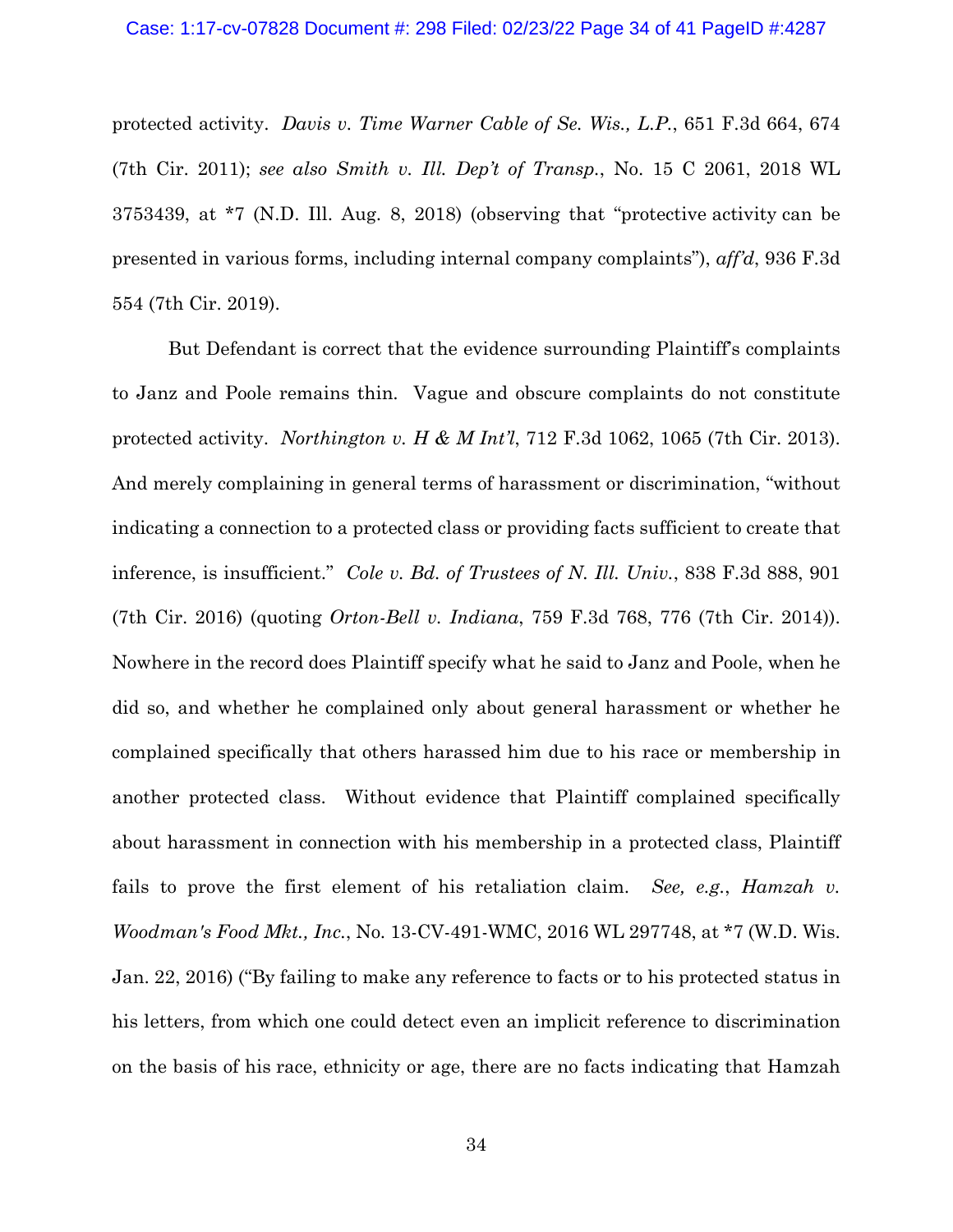protected activity. *Davis v. Time Warner Cable of Se. Wis., L.P.*, 651 F.3d 664, 674 (7th Cir. 2011); *see also Smith v. Ill. Dep't of Transp.*, No. 15 C 2061, 2018 WL 3753439, at \*7 (N.D. Ill. Aug. 8, 2018) (observing that "protective activity can be presented in various forms, including internal company complaints"), *aff'd*, 936 F.3d 554 (7th Cir. 2019).

But Defendant is correct that the evidence surrounding Plaintiff's complaints to Janz and Poole remains thin. Vague and obscure complaints do not constitute protected activity. *Northington v. H & M Int'l*, 712 F.3d 1062, 1065 (7th Cir. 2013). And merely complaining in general terms of harassment or discrimination, "without indicating a connection to a protected class or providing facts sufficient to create that inference, is insufficient." *Cole v. Bd. of Trustees of N. Ill. Univ.*, 838 F.3d 888, 901 (7th Cir. 2016) (quoting *Orton-Bell v. Indiana*, 759 F.3d 768, 776 (7th Cir. 2014)). Nowhere in the record does Plaintiff specify what he said to Janz and Poole, when he did so, and whether he complained only about general harassment or whether he complained specifically that others harassed him due to his race or membership in another protected class. Without evidence that Plaintiff complained specifically about harassment in connection with his membership in a protected class, Plaintiff fails to prove the first element of his retaliation claim. *See, e.g.*, *Hamzah v. Woodman's Food Mkt., Inc.*, No. 13-CV-491-WMC, 2016 WL 297748, at \*7 (W.D. Wis. Jan. 22, 2016) ("By failing to make any reference to facts or to his protected status in his letters, from which one could detect even an implicit reference to discrimination on the basis of his race, ethnicity or age, there are no facts indicating that Hamzah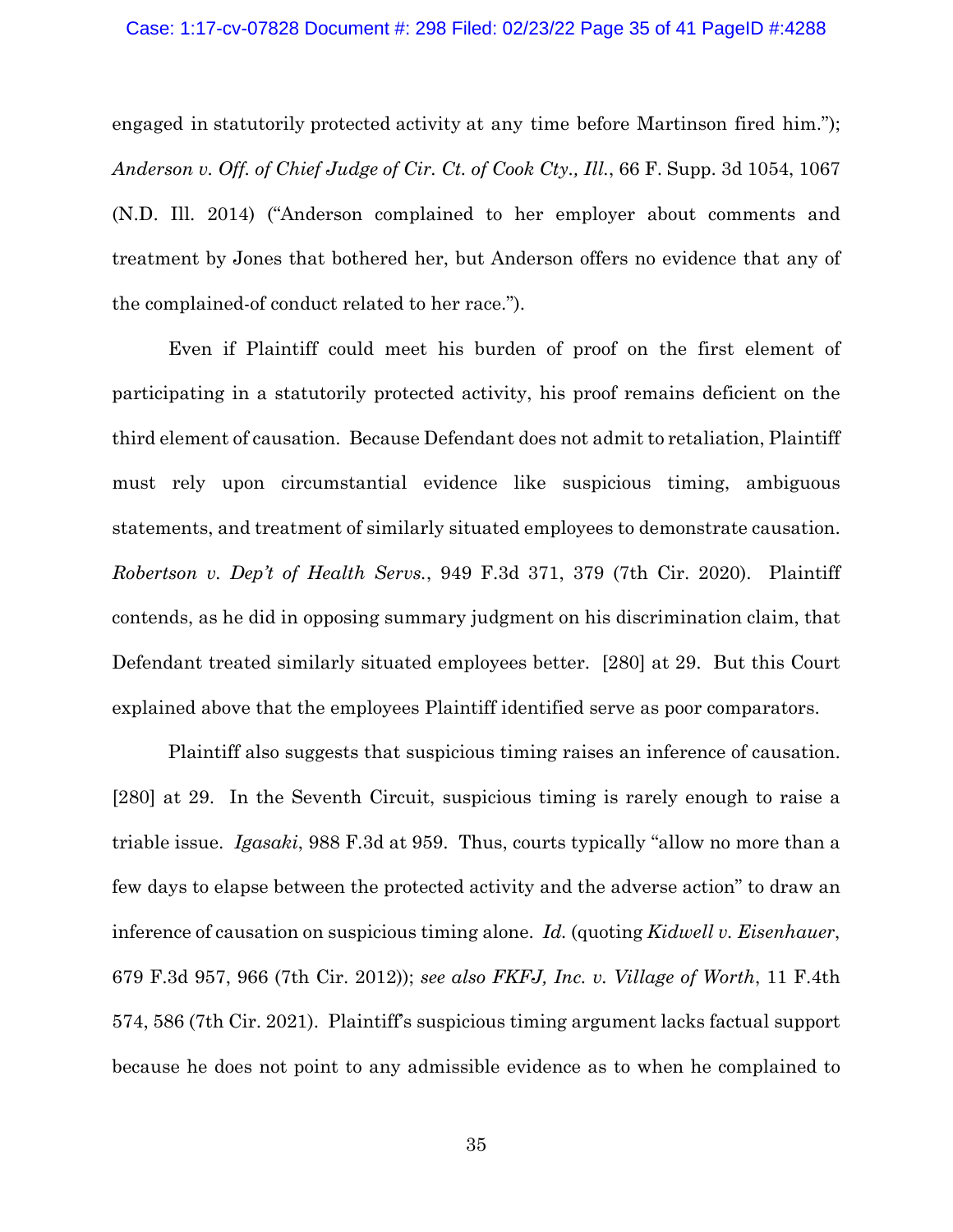engaged in statutorily protected activity at any time before Martinson fired him."); *Anderson v. Off. of Chief Judge of Cir. Ct. of Cook Cty., Ill.*, 66 F. Supp. 3d 1054, 1067 (N.D. Ill. 2014) ("Anderson complained to her employer about comments and treatment by Jones that bothered her, but Anderson offers no evidence that any of the complained-of conduct related to her race.").

Even if Plaintiff could meet his burden of proof on the first element of participating in a statutorily protected activity, his proof remains deficient on the third element of causation. Because Defendant does not admit to retaliation, Plaintiff must rely upon circumstantial evidence like suspicious timing, ambiguous statements, and treatment of similarly situated employees to demonstrate causation. *Robertson v. Dep't of Health Servs.*, 949 F.3d 371, 379 (7th Cir. 2020). Plaintiff contends, as he did in opposing summary judgment on his discrimination claim, that Defendant treated similarly situated employees better. [280] at 29. But this Court explained above that the employees Plaintiff identified serve as poor comparators.

Plaintiff also suggests that suspicious timing raises an inference of causation. [280] at 29. In the Seventh Circuit, suspicious timing is rarely enough to raise a triable issue. *Igasaki*, 988 F.3d at 959. Thus, courts typically "allow no more than a few days to elapse between the protected activity and the adverse action" to draw an inference of causation on suspicious timing alone. *Id.* (quoting *Kidwell v. Eisenhauer*, 679 F.3d 957, 966 (7th Cir. 2012)); *see also FKFJ, Inc. v. Village of Worth*, 11 F.4th 574, 586 (7th Cir. 2021). Plaintiff's suspicious timing argument lacks factual support because he does not point to any admissible evidence as to when he complained to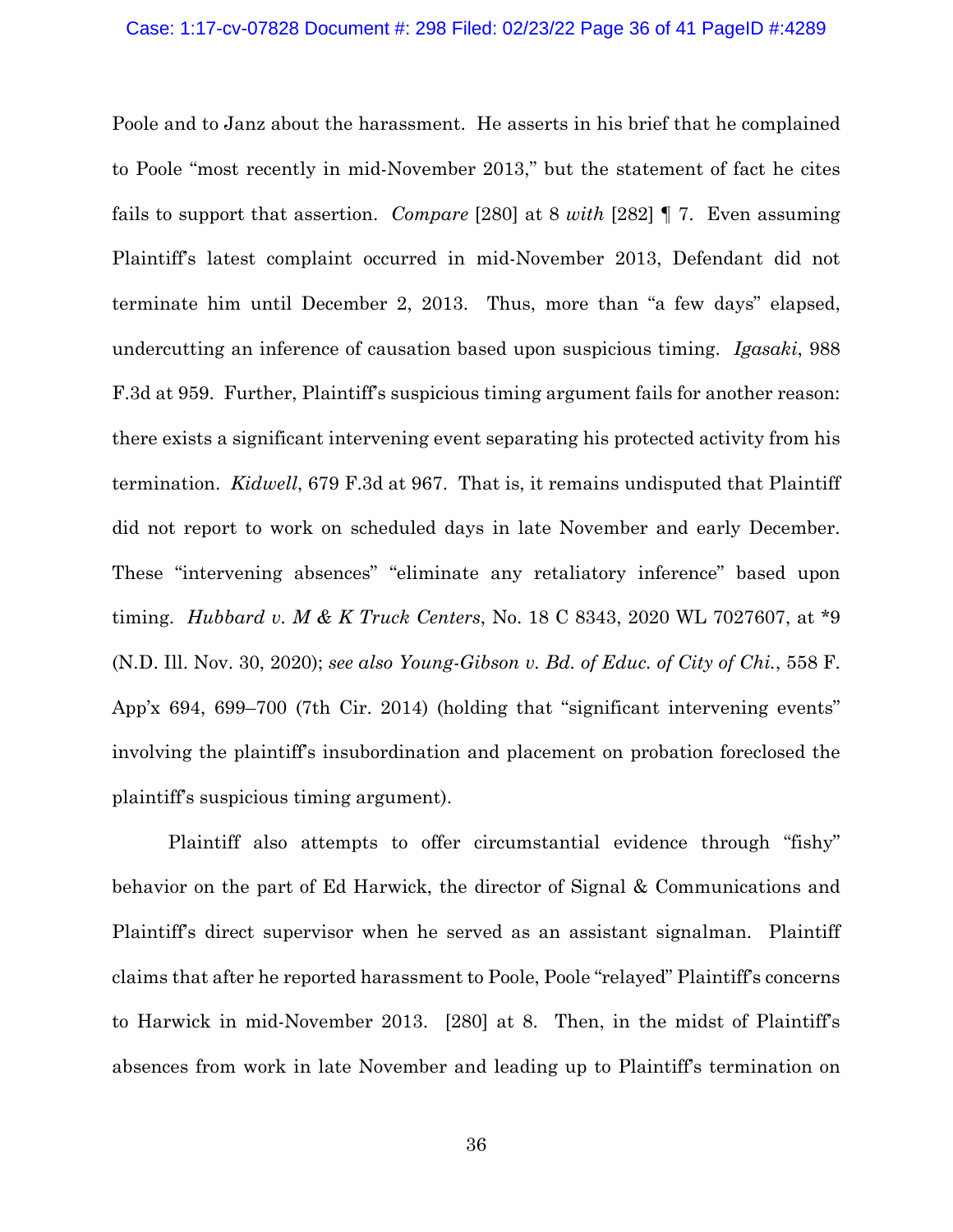Poole and to Janz about the harassment. He asserts in his brief that he complained to Poole "most recently in mid-November 2013," but the statement of fact he cites fails to support that assertion. *Compare* [280] at 8 *with* [282] ¶ 7. Even assuming Plaintiff's latest complaint occurred in mid-November 2013, Defendant did not terminate him until December 2, 2013. Thus, more than "a few days" elapsed, undercutting an inference of causation based upon suspicious timing. *Igasaki*, 988 F.3d at 959. Further, Plaintiff's suspicious timing argument fails for another reason: there exists a significant intervening event separating his protected activity from his termination. *Kidwell*, 679 F.3d at 967. That is, it remains undisputed that Plaintiff did not report to work on scheduled days in late November and early December. These "intervening absences" "eliminate any retaliatory inference" based upon timing. *Hubbard v. M & K Truck Centers*, No. 18 C 8343, 2020 WL 7027607, at \*9 (N.D. Ill. Nov. 30, 2020); *see also Young-Gibson v. Bd. of Educ. of City of Chi.*, 558 F. App'x 694, 699–700 (7th Cir. 2014) (holding that "significant intervening events" involving the plaintiff's insubordination and placement on probation foreclosed the plaintiff's suspicious timing argument).

Plaintiff also attempts to offer circumstantial evidence through "fishy" behavior on the part of Ed Harwick, the director of Signal & Communications and Plaintiff's direct supervisor when he served as an assistant signalman. Plaintiff claims that after he reported harassment to Poole, Poole "relayed" Plaintiff's concerns to Harwick in mid-November 2013. [280] at 8. Then, in the midst of Plaintiff's absences from work in late November and leading up to Plaintiff's termination on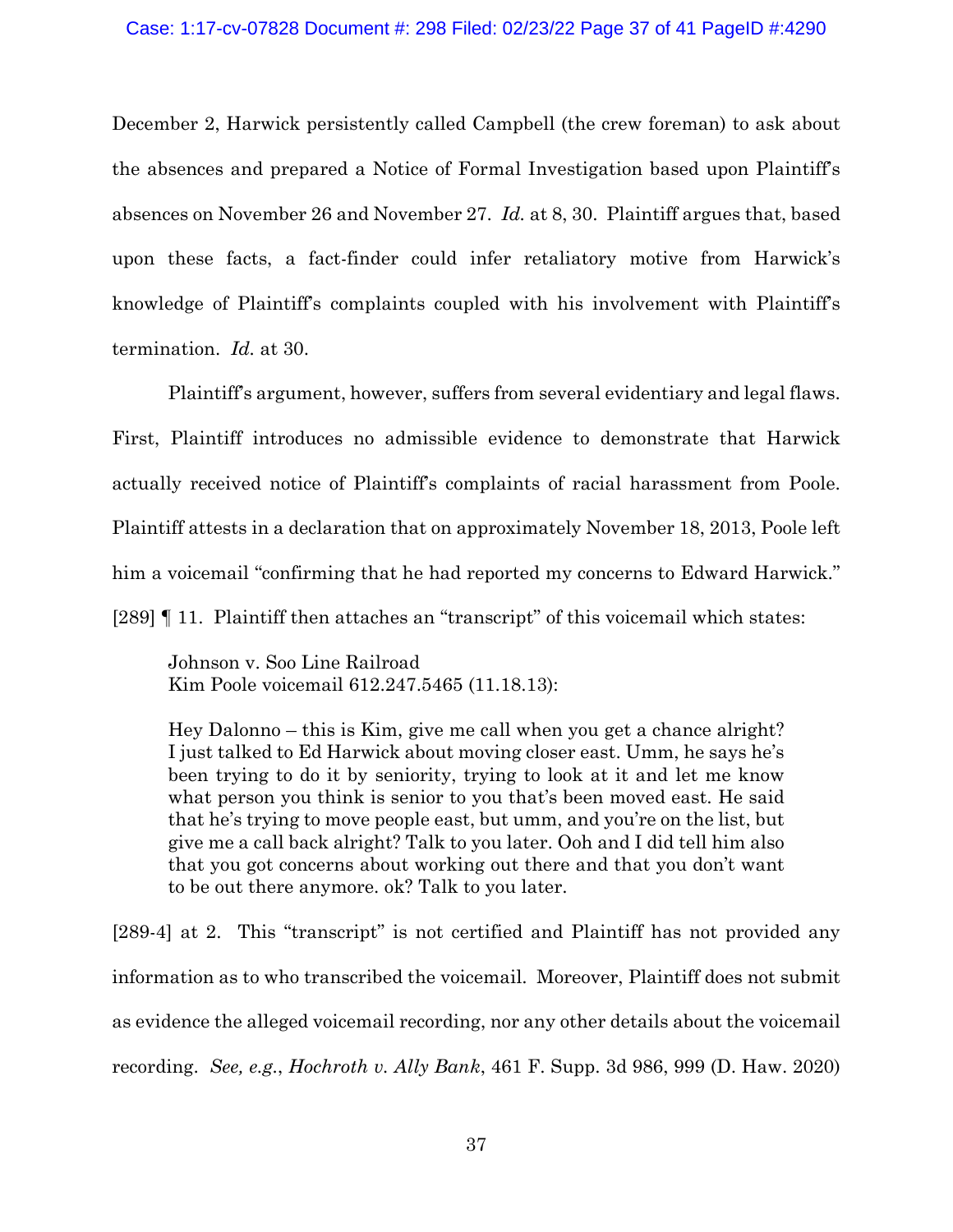### Case: 1:17-cv-07828 Document #: 298 Filed: 02/23/22 Page 37 of 41 PageID #:4290

December 2, Harwick persistently called Campbell (the crew foreman) to ask about the absences and prepared a Notice of Formal Investigation based upon Plaintiff's absences on November 26 and November 27. *Id.* at 8, 30. Plaintiff argues that, based upon these facts, a fact-finder could infer retaliatory motive from Harwick's knowledge of Plaintiff's complaints coupled with his involvement with Plaintiff's termination. *Id.* at 30.

Plaintiff's argument, however, suffers from several evidentiary and legal flaws. First, Plaintiff introduces no admissible evidence to demonstrate that Harwick actually received notice of Plaintiff's complaints of racial harassment from Poole. Plaintiff attests in a declaration that on approximately November 18, 2013, Poole left him a voicemail "confirming that he had reported my concerns to Edward Harwick." [289] ¶ 11. Plaintiff then attaches an "transcript" of this voicemail which states:

Johnson v. Soo Line Railroad Kim Poole voicemail 612.247.5465 (11.18.13):

Hey Dalonno – this is Kim, give me call when you get a chance alright? I just talked to Ed Harwick about moving closer east. Umm, he says he's been trying to do it by seniority, trying to look at it and let me know what person you think is senior to you that's been moved east. He said that he's trying to move people east, but umm, and you're on the list, but give me a call back alright? Talk to you later. Ooh and I did tell him also that you got concerns about working out there and that you don't want to be out there anymore. ok? Talk to you later.

[289-4] at 2. This "transcript" is not certified and Plaintiff has not provided any information as to who transcribed the voicemail. Moreover, Plaintiff does not submit as evidence the alleged voicemail recording, nor any other details about the voicemail recording. *See, e.g.*, *Hochroth v. Ally Bank*, 461 F. Supp. 3d 986, 999 (D. Haw. 2020)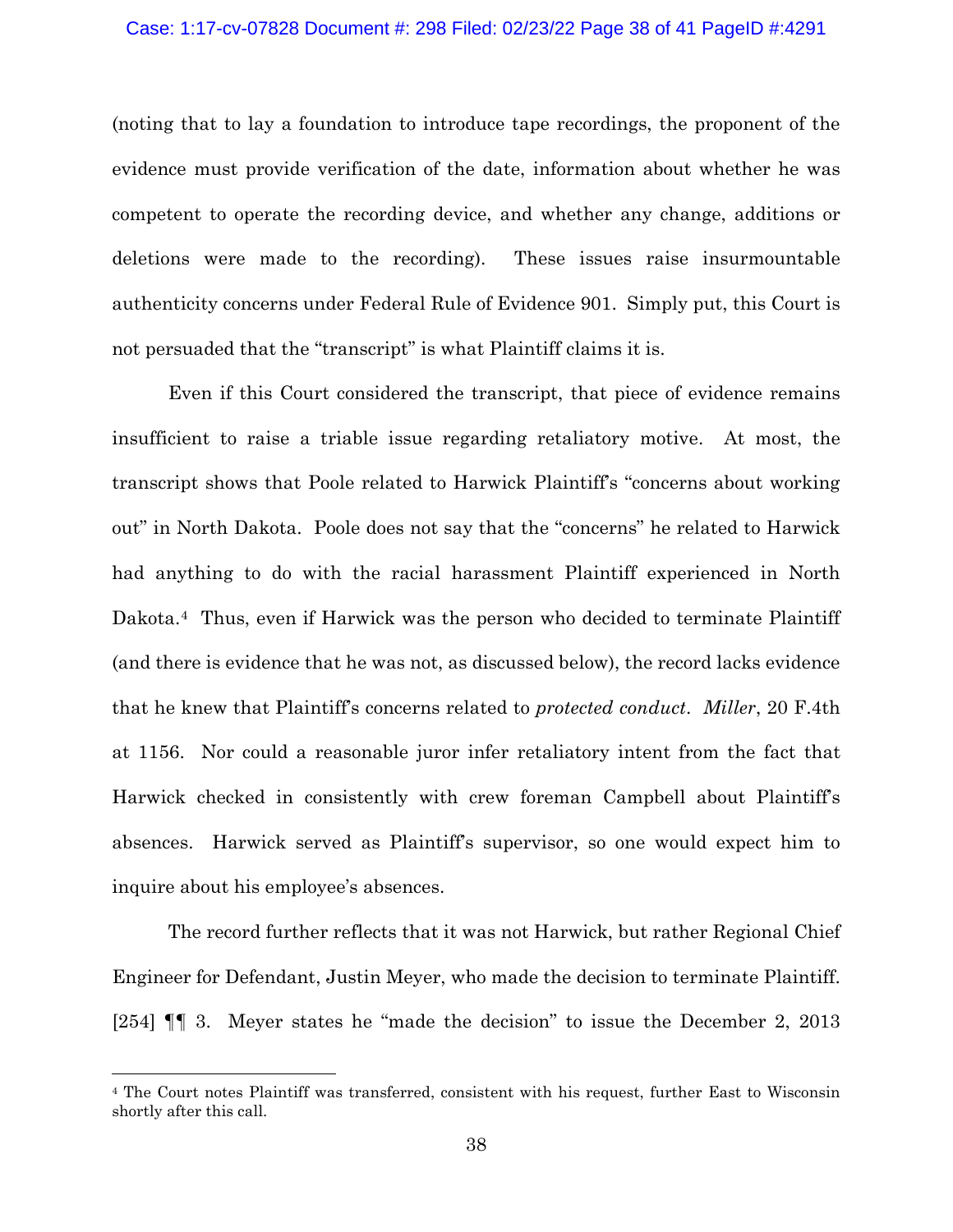### Case: 1:17-cv-07828 Document #: 298 Filed: 02/23/22 Page 38 of 41 PageID #:4291

(noting that to lay a foundation to introduce tape recordings, the proponent of the evidence must provide verification of the date, information about whether he was competent to operate the recording device, and whether any change, additions or deletions were made to the recording). These issues raise insurmountable authenticity concerns under Federal Rule of Evidence 901. Simply put, this Court is not persuaded that the "transcript" is what Plaintiff claims it is.

Even if this Court considered the transcript, that piece of evidence remains insufficient to raise a triable issue regarding retaliatory motive. At most, the transcript shows that Poole related to Harwick Plaintiff's "concerns about working out" in North Dakota. Poole does not say that the "concerns" he related to Harwick had anything to do with the racial harassment Plaintiff experienced in North Dakota.[4](#page-37-0) Thus, even if Harwick was the person who decided to terminate Plaintiff (and there is evidence that he was not, as discussed below), the record lacks evidence that he knew that Plaintiff's concerns related to *protected conduct*. *Miller*, 20 F.4th at 1156. Nor could a reasonable juror infer retaliatory intent from the fact that Harwick checked in consistently with crew foreman Campbell about Plaintiff's absences. Harwick served as Plaintiff's supervisor, so one would expect him to inquire about his employee's absences.

The record further reflects that it was not Harwick, but rather Regional Chief Engineer for Defendant, Justin Meyer, who made the decision to terminate Plaintiff. [254] ¶¶ 3. Meyer states he "made the decision" to issue the December 2, 2013

<span id="page-37-0"></span><sup>4</sup> The Court notes Plaintiff was transferred, consistent with his request, further East to Wisconsin shortly after this call.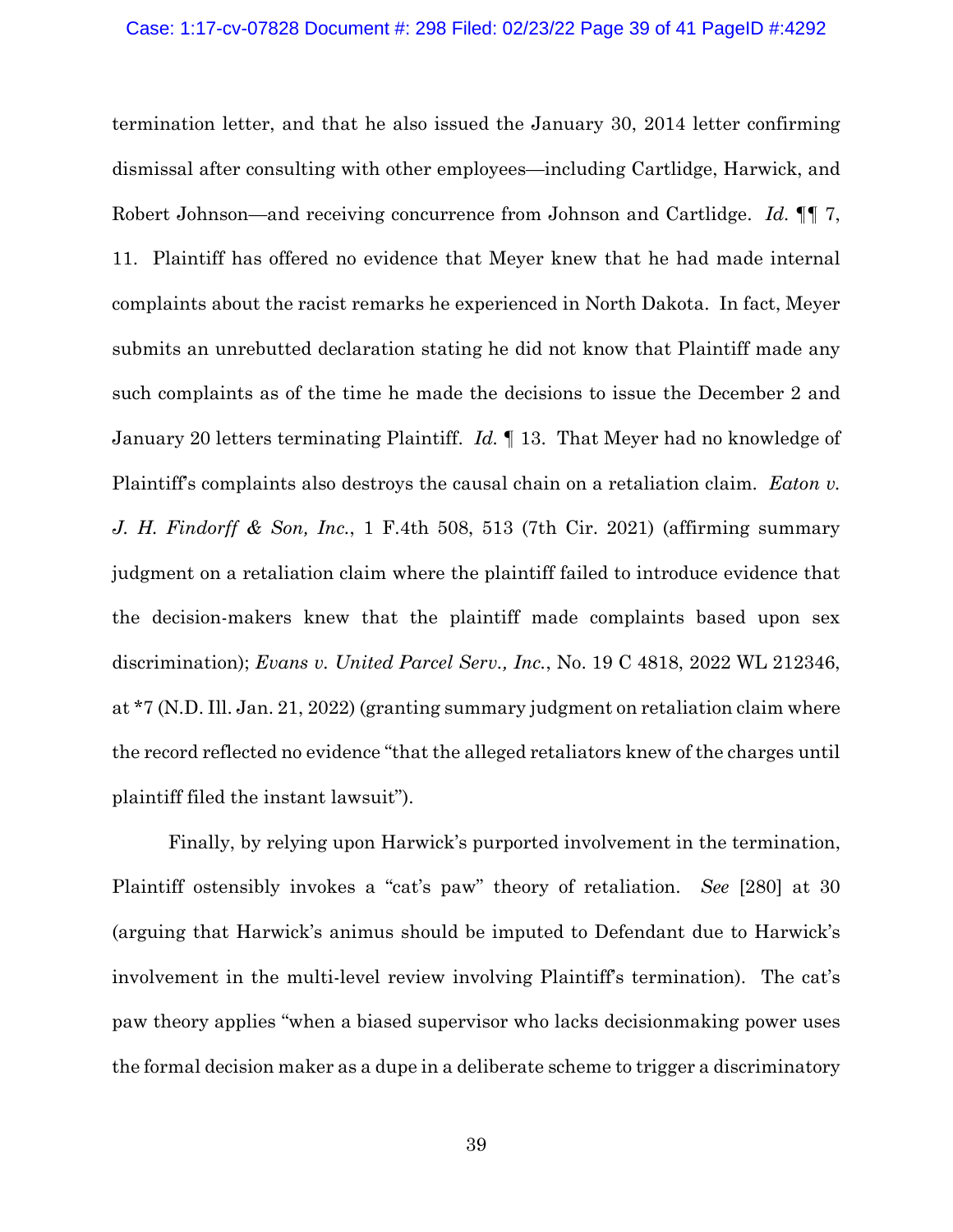termination letter, and that he also issued the January 30, 2014 letter confirming dismissal after consulting with other employees—including Cartlidge, Harwick, and Robert Johnson—and receiving concurrence from Johnson and Cartlidge. *Id.* ¶¶ 7, 11. Plaintiff has offered no evidence that Meyer knew that he had made internal complaints about the racist remarks he experienced in North Dakota. In fact, Meyer submits an unrebutted declaration stating he did not know that Plaintiff made any such complaints as of the time he made the decisions to issue the December 2 and January 20 letters terminating Plaintiff. *Id.* ¶ 13. That Meyer had no knowledge of Plaintiff's complaints also destroys the causal chain on a retaliation claim. *Eaton v. J. H. Findorff & Son, Inc.*, 1 F.4th 508, 513 (7th Cir. 2021) (affirming summary judgment on a retaliation claim where the plaintiff failed to introduce evidence that the decision-makers knew that the plaintiff made complaints based upon sex discrimination); *Evans v. United Parcel Serv., Inc.*, No. 19 C 4818, 2022 WL 212346, at \*7 (N.D. Ill. Jan. 21, 2022) (granting summary judgment on retaliation claim where the record reflected no evidence "that the alleged retaliators knew of the charges until plaintiff filed the instant lawsuit").

Finally, by relying upon Harwick's purported involvement in the termination, Plaintiff ostensibly invokes a "cat's paw" theory of retaliation. *See* [280] at 30 (arguing that Harwick's animus should be imputed to Defendant due to Harwick's involvement in the multi-level review involving Plaintiff's termination). The cat's paw theory applies "when a biased supervisor who lacks decisionmaking power uses the formal decision maker as a dupe in a deliberate scheme to trigger a discriminatory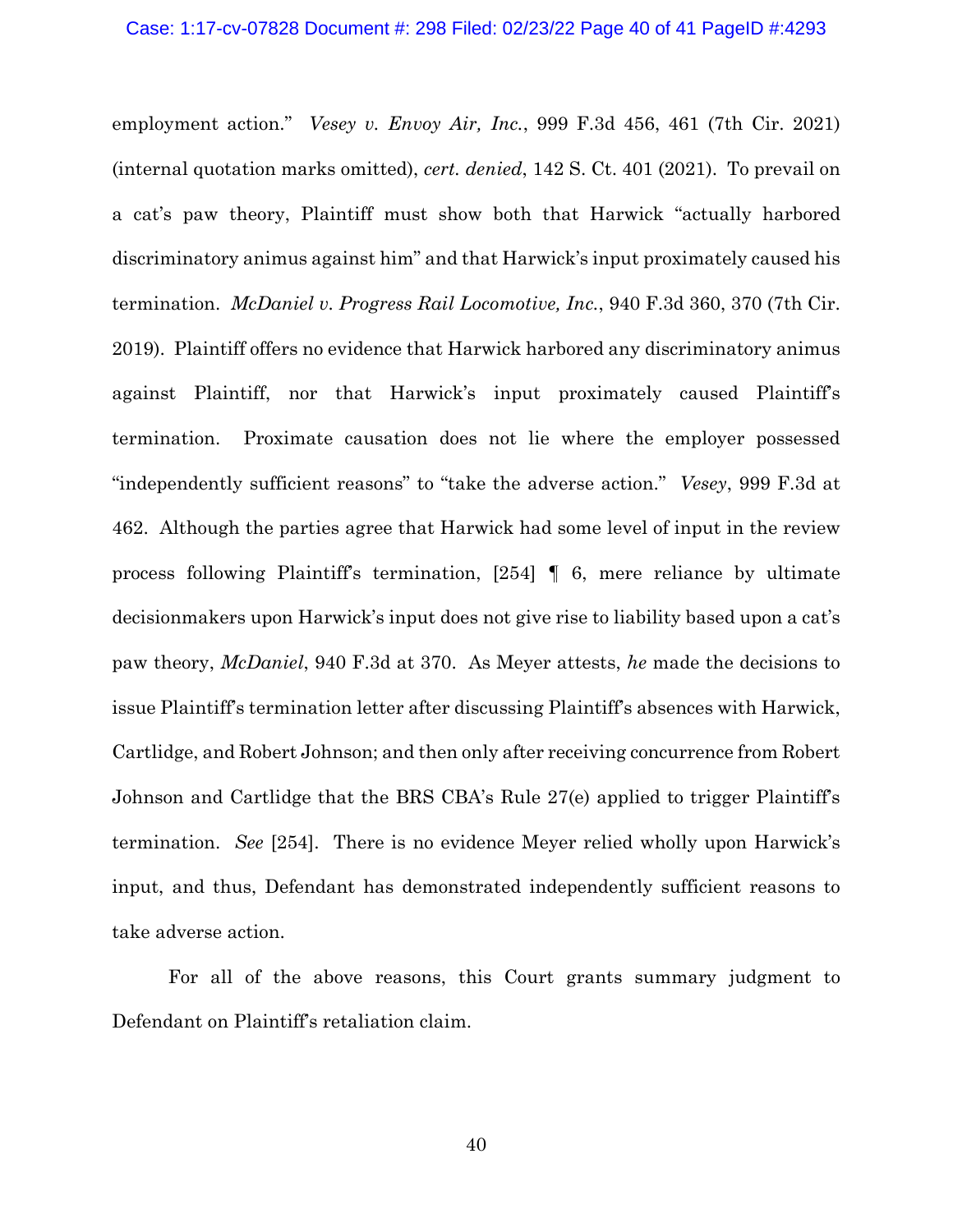employment action." *Vesey v. Envoy Air, Inc.*, 999 F.3d 456, 461 (7th Cir. 2021) (internal quotation marks omitted), *cert. denied*, 142 S. Ct. 401 (2021). To prevail on a cat's paw theory, Plaintiff must show both that Harwick "actually harbored discriminatory animus against him" and that Harwick's input proximately caused his termination. *McDaniel v. Progress Rail Locomotive, Inc.*, 940 F.3d 360, 370 (7th Cir. 2019). Plaintiff offers no evidence that Harwick harbored any discriminatory animus against Plaintiff, nor that Harwick's input proximately caused Plaintiff's termination. Proximate causation does not lie where the employer possessed "independently sufficient reasons" to "take the adverse action." *Vesey*, 999 F.3d at 462. Although the parties agree that Harwick had some level of input in the review process following Plaintiff's termination, [254] *¶* 6, mere reliance by ultimate decisionmakers upon Harwick's input does not give rise to liability based upon a cat's paw theory, *McDaniel*, 940 F.3d at 370. As Meyer attests, *he* made the decisions to issue Plaintiff's termination letter after discussing Plaintiff's absences with Harwick, Cartlidge, and Robert Johnson; and then only after receiving concurrence from Robert Johnson and Cartlidge that the BRS CBA's Rule 27(e) applied to trigger Plaintiff's termination. *See* [254]. There is no evidence Meyer relied wholly upon Harwick's input, and thus, Defendant has demonstrated independently sufficient reasons to take adverse action.

For all of the above reasons, this Court grants summary judgment to Defendant on Plaintiff's retaliation claim.